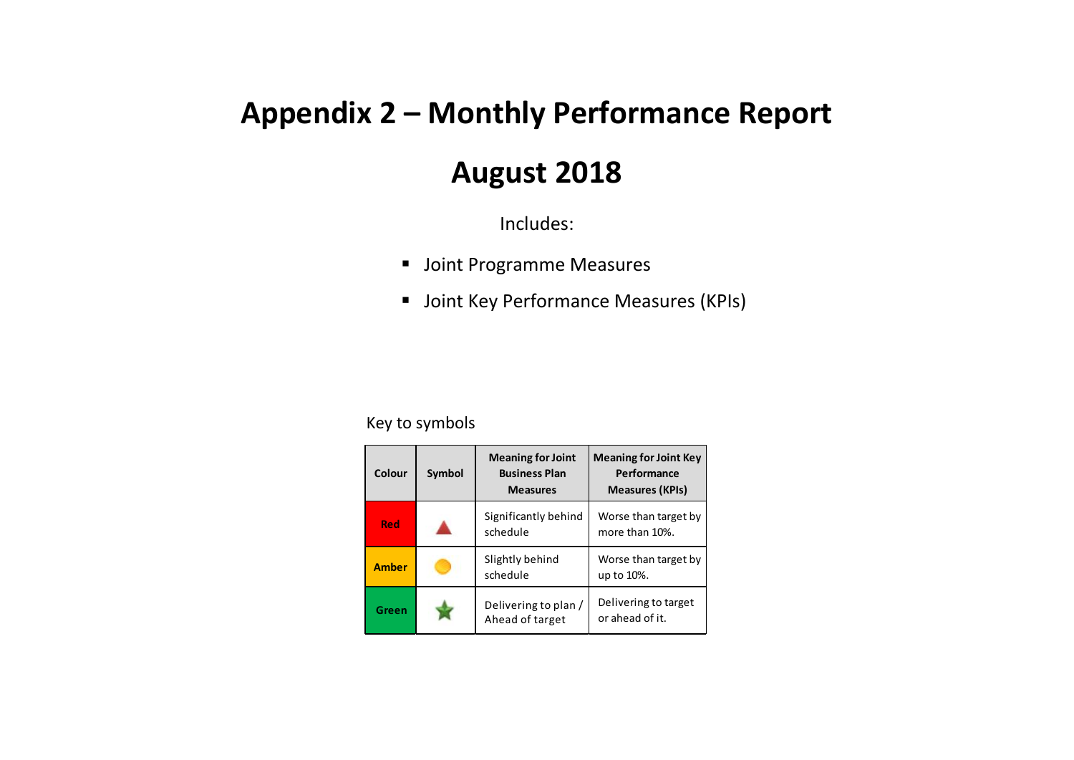## **Appendix 2 – Monthly Performance Report**

## **August 2018**

Includes:

- Joint Programme Measures
- **Joint Key Performance Measures (KPIs)**

## Key to symbols

| Colour       | Symbol | <b>Meaning for Joint</b><br><b>Business Plan</b><br><b>Measures</b> | <b>Meaning for Joint Key</b><br>Performance<br><b>Measures (KPIs)</b> |
|--------------|--------|---------------------------------------------------------------------|-----------------------------------------------------------------------|
| Red          |        | Significantly behind<br>schedule                                    | Worse than target by<br>more than 10%.                                |
| <b>Amber</b> |        | Slightly behind<br>schedule                                         | Worse than target by<br>up to 10%.                                    |
| Green        |        | Delivering to plan /<br>Ahead of target                             | Delivering to target<br>or ahead of it.                               |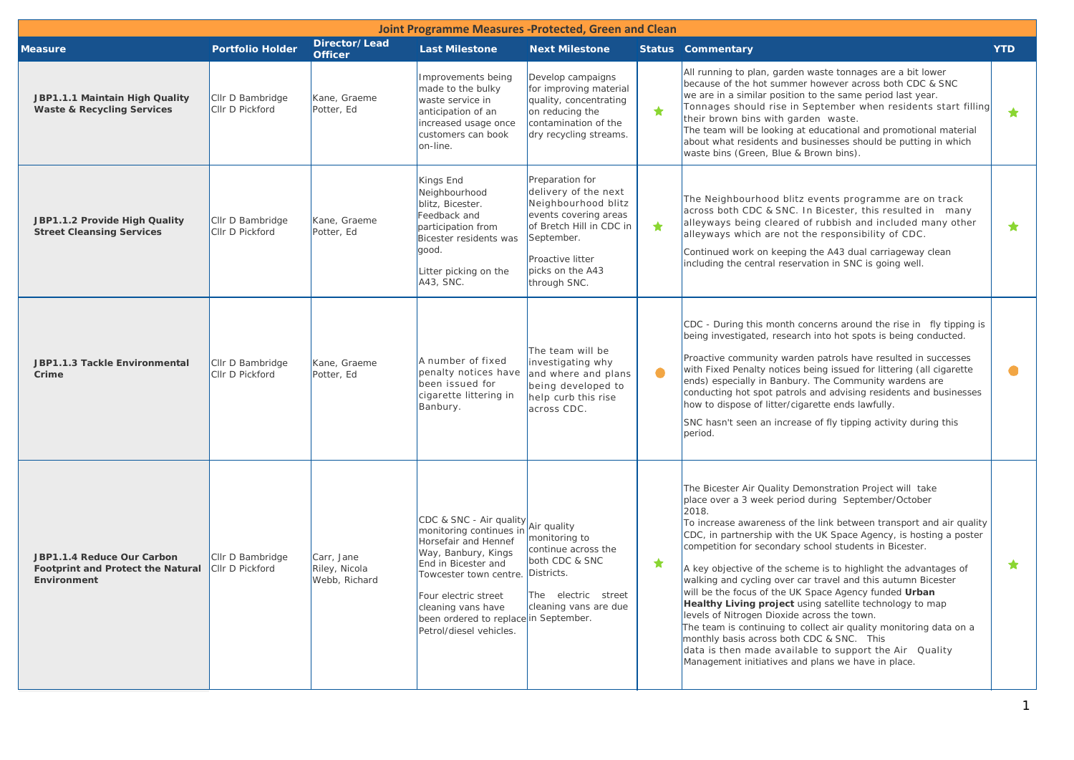| Joint Programme Measures -Protected, Green and Clean                           |                                     |                                              |                                                                                                                                                                                                                                                                      |                                                                                                                                                                                           |            |                                                                                                                                                                                                                                                                                                                                                                                                                                                                                                                                                                                                                                                                                                                                                                                                                                                                          |            |  |
|--------------------------------------------------------------------------------|-------------------------------------|----------------------------------------------|----------------------------------------------------------------------------------------------------------------------------------------------------------------------------------------------------------------------------------------------------------------------|-------------------------------------------------------------------------------------------------------------------------------------------------------------------------------------------|------------|--------------------------------------------------------------------------------------------------------------------------------------------------------------------------------------------------------------------------------------------------------------------------------------------------------------------------------------------------------------------------------------------------------------------------------------------------------------------------------------------------------------------------------------------------------------------------------------------------------------------------------------------------------------------------------------------------------------------------------------------------------------------------------------------------------------------------------------------------------------------------|------------|--|
| <b>Measure</b>                                                                 | <b>Portfolio Holder</b>             | Director/Lead<br><b>Officer</b>              | <b>Last Milestone</b>                                                                                                                                                                                                                                                | <b>Next Milestone</b>                                                                                                                                                                     |            | <b>Status Commentary</b>                                                                                                                                                                                                                                                                                                                                                                                                                                                                                                                                                                                                                                                                                                                                                                                                                                                 | <b>YTD</b> |  |
| JBP1.1.1 Maintain High Quality<br><b>Waste &amp; Recycling Services</b>        | Cllr D Bambridge<br>CIIr D Pickford | Kane, Graeme<br>Potter, Ed                   | Improvements being<br>made to the bulky<br>waste service in<br>anticipation of an<br>increased usage once<br>customers can book<br>on-line.                                                                                                                          | Develop campaigns<br>for improving material<br>quality, concentrating<br>on reducing the<br>contamination of the<br>dry recycling streams.                                                | ★          | All running to plan, garden waste tonnages are a bit lower<br>because of the hot summer however across both CDC & SNC<br>we are in a similar position to the same period last year.<br>Tonnages should rise in September when residents start filling<br>their brown bins with garden waste.<br>The team will be looking at educational and promotional material<br>about what residents and businesses should be putting in which<br>waste bins (Green, Blue & Brown bins).                                                                                                                                                                                                                                                                                                                                                                                             | ★          |  |
| JBP1.1.2 Provide High Quality<br><b>Street Cleansing Services</b>              | Cllr D Bambridge<br>Cllr D Pickford | Kane, Graeme<br>Potter, Ed                   | Kings End<br>Neighbourhood<br>blitz, Bicester.<br>Feedback and<br>participation from<br>Bicester residents was<br>good.<br>Litter picking on the<br>A43, SNC.                                                                                                        | Preparation for<br>delivery of the next<br>Neighbourhood blitz<br>events covering areas<br>of Bretch Hill in CDC in<br>September.<br>Proactive litter<br>picks on the A43<br>through SNC. | $\bigstar$ | The Neighbourhood blitz events programme are on track<br>across both CDC & SNC. In Bicester, this resulted in many<br>alleyways being cleared of rubbish and included many other<br>alleyways which are not the responsibility of CDC.<br>Continued work on keeping the A43 dual carriageway clean<br>including the central reservation in SNC is going well.                                                                                                                                                                                                                                                                                                                                                                                                                                                                                                            | $\star$    |  |
| JBP1.1.3 Tackle Environmental<br>Crime                                         | Cllr D Bambridge<br>Cllr D Pickford | Kane, Graeme<br>Potter, Ed                   | A number of fixed<br>penalty notices have<br>been issued for<br>cigarette littering in<br>Banbury.                                                                                                                                                                   | The team will be<br>investigating why<br>and where and plans<br>being developed to<br>help curb this rise<br>across CDC.                                                                  | $\bullet$  | CDC - During this month concerns around the rise in fly tipping is<br>being investigated, research into hot spots is being conducted.<br>Proactive community warden patrols have resulted in successes<br>with Fixed Penalty notices being issued for littering (all cigarette<br>ends) especially in Banbury. The Community wardens are<br>conducting hot spot patrols and advising residents and businesses<br>how to dispose of litter/cigarette ends lawfully.<br>SNC hasn't seen an increase of fly tipping activity during this<br>period.                                                                                                                                                                                                                                                                                                                         | $\bullet$  |  |
| JBP1.1.4 Reduce Our Carbon<br>Footprint and Protect the Natural<br>Environment | CIIr D Bambridge<br>CIIr D Pickford | Carr, Jane<br>Rilev, Nicola<br>Webb, Richard | CDC & SNC - Air quality<br>monitoring continues in<br>Horsefair and Hennef<br>Way, Banbury, Kings<br>End in Bicester and<br>Towcester town centre.<br>Four electric street<br>cleaning vans have<br>been ordered to replace in September.<br>Petrol/diesel vehicles. | Air quality<br>monitoring to<br>continue across the<br>both CDC & SNC<br>Districts.<br>The electric street<br>cleaning vans are due                                                       | ★          | The Bicester Air Quality Demonstration Project will take<br>place over a 3 week period during September/October<br>2018.<br>To increase awareness of the link between transport and air quality<br>CDC, in partnership with the UK Space Agency, is hosting a poster<br>competition for secondary school students in Bicester.<br>A key objective of the scheme is to highlight the advantages of<br>walking and cycling over car travel and this autumn Bicester<br>will be the focus of the UK Space Agency funded Urban<br>Healthy Living project using satellite technology to map<br>levels of Nitrogen Dioxide across the town.<br>The team is continuing to collect air quality monitoring data on a<br>monthly basis across both CDC & SNC. This<br>data is then made available to support the Air Quality<br>Management initiatives and plans we have in place. | *          |  |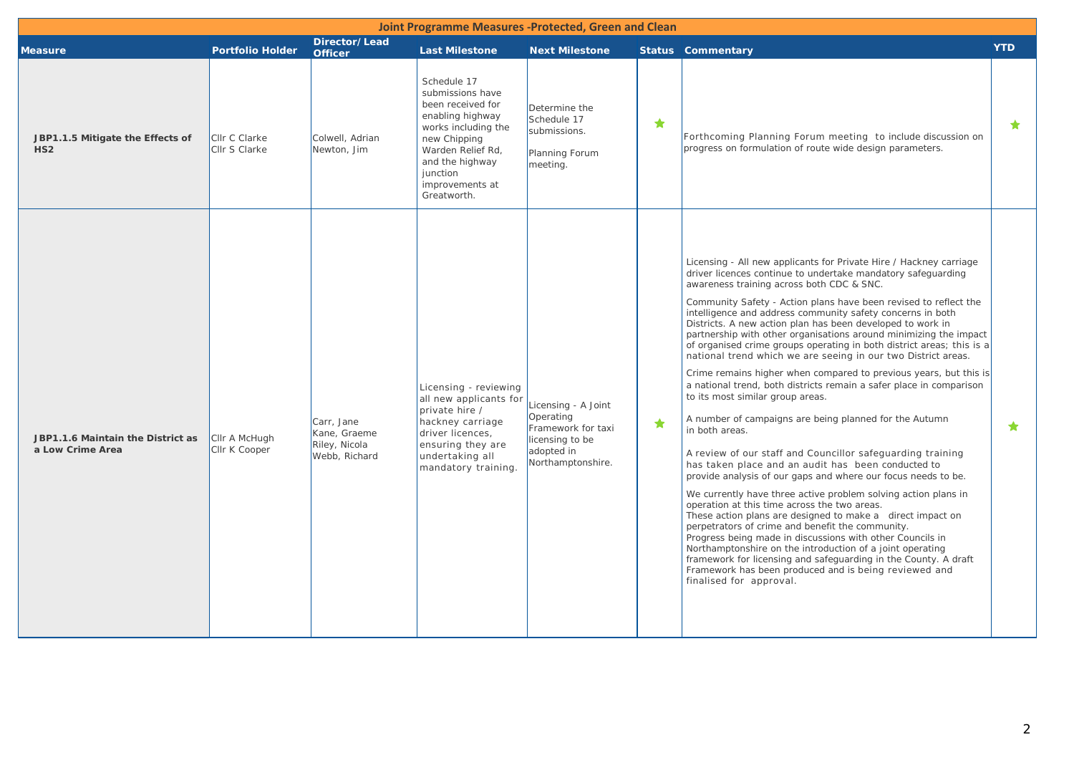| Joint Programme Measures -Protected, Green and Clean  |                                |                                                              |                                                                                                                                                                                                       |                                                                                                              |            |                                                                                                                                                                                                                                                                                                                                                                                                                                                                                                                                                                                                                                                                                                                                                                                                                                                                                                                                                                                                                                                                                                                                                                                                                                                                                                                                                                                                                                                                                                                                                                      |            |  |  |
|-------------------------------------------------------|--------------------------------|--------------------------------------------------------------|-------------------------------------------------------------------------------------------------------------------------------------------------------------------------------------------------------|--------------------------------------------------------------------------------------------------------------|------------|----------------------------------------------------------------------------------------------------------------------------------------------------------------------------------------------------------------------------------------------------------------------------------------------------------------------------------------------------------------------------------------------------------------------------------------------------------------------------------------------------------------------------------------------------------------------------------------------------------------------------------------------------------------------------------------------------------------------------------------------------------------------------------------------------------------------------------------------------------------------------------------------------------------------------------------------------------------------------------------------------------------------------------------------------------------------------------------------------------------------------------------------------------------------------------------------------------------------------------------------------------------------------------------------------------------------------------------------------------------------------------------------------------------------------------------------------------------------------------------------------------------------------------------------------------------------|------------|--|--|
| <b>Measure</b>                                        | <b>Portfolio Holder</b>        | Director/Lead<br><b>Officer</b>                              | <b>Last Milestone</b>                                                                                                                                                                                 | <b>Next Milestone</b>                                                                                        |            | <b>Status Commentary</b>                                                                                                                                                                                                                                                                                                                                                                                                                                                                                                                                                                                                                                                                                                                                                                                                                                                                                                                                                                                                                                                                                                                                                                                                                                                                                                                                                                                                                                                                                                                                             | <b>YTD</b> |  |  |
| JBP1.1.5 Mitigate the Effects of<br>HS <sub>2</sub>   | Cllr C Clarke<br>Cllr S Clarke | Colwell, Adrian<br>Newton, Jim                               | Schedule 17<br>submissions have<br>been received for<br>enabling highway<br>works including the<br>new Chipping<br>Warden Relief Rd,<br>and the highway<br>junction<br>improvements at<br>Greatworth. | Determine the<br>Schedule 17<br>submissions.<br>Planning Forum<br>meeting.                                   | $\bigstar$ | Forthcoming Planning Forum meeting to include discussion on<br>progress on formulation of route wide design parameters.                                                                                                                                                                                                                                                                                                                                                                                                                                                                                                                                                                                                                                                                                                                                                                                                                                                                                                                                                                                                                                                                                                                                                                                                                                                                                                                                                                                                                                              | $\bigstar$ |  |  |
| JBP1.1.6 Maintain the District as<br>a Low Crime Area | Cllr A McHugh<br>Cllr K Cooper | Carr, Jane<br>Kane, Graeme<br>Riley, Nicola<br>Webb, Richard | Licensing - reviewing<br>all new applicants for<br>private hire /<br>hackney carriage<br>driver licences,<br>ensuring they are<br>undertaking all<br>mandatory training.                              | Licensing - A Joint<br>Operating<br>Framework for taxi<br>licensing to be<br>adopted in<br>Northamptonshire. | $\bigstar$ | Licensing - All new applicants for Private Hire / Hackney carriage<br>driver licences continue to undertake mandatory safeguarding<br>awareness training across both CDC & SNC.<br>Community Safety - Action plans have been revised to reflect the<br>intelligence and address community safety concerns in both<br>Districts. A new action plan has been developed to work in<br>partnership with other organisations around minimizing the impact<br>of organised crime groups operating in both district areas; this is a<br>national trend which we are seeing in our two District areas.<br>Crime remains higher when compared to previous years, but this is<br>a national trend, both districts remain a safer place in comparison<br>to its most similar group areas.<br>A number of campaigns are being planned for the Autumn<br>in both areas.<br>A review of our staff and Councillor safeguarding training<br>has taken place and an audit has been conducted to<br>provide analysis of our gaps and where our focus needs to be.<br>We currently have three active problem solving action plans in<br>operation at this time across the two areas.<br>These action plans are designed to make a direct impact on<br>perpetrators of crime and benefit the community.<br>Progress being made in discussions with other Councils in<br>Northamptonshire on the introduction of a joint operating<br>framework for licensing and safeguarding in the County. A draft<br>Framework has been produced and is being reviewed and<br>finalised for approval. | $\bigstar$ |  |  |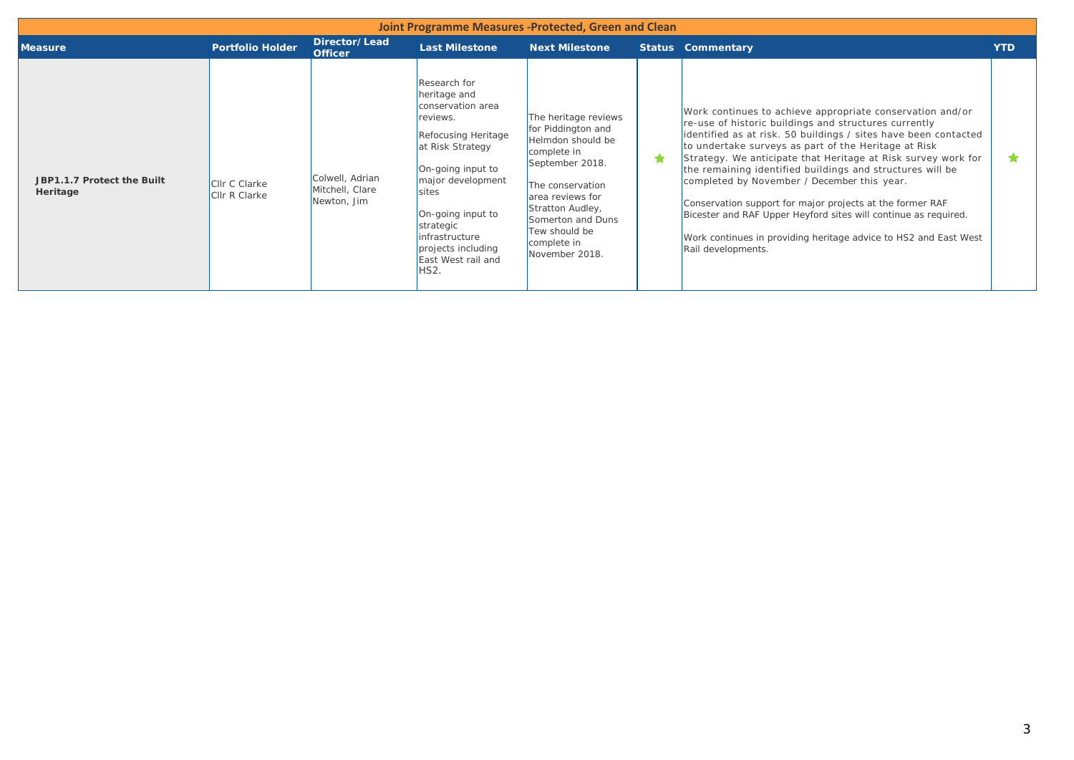| Joint Programme Measures -Protected, Green and Clean |                                       |                                                   |                                                                                                                                                                                                                                                                            |                                                                                                                                                                                                                                      |   |                                                                                                                                                                                                                                                                                                                                                                                                                                                                                                                                                                                                                                                      |            |  |  |  |
|------------------------------------------------------|---------------------------------------|---------------------------------------------------|----------------------------------------------------------------------------------------------------------------------------------------------------------------------------------------------------------------------------------------------------------------------------|--------------------------------------------------------------------------------------------------------------------------------------------------------------------------------------------------------------------------------------|---|------------------------------------------------------------------------------------------------------------------------------------------------------------------------------------------------------------------------------------------------------------------------------------------------------------------------------------------------------------------------------------------------------------------------------------------------------------------------------------------------------------------------------------------------------------------------------------------------------------------------------------------------------|------------|--|--|--|
| <b>Measure</b>                                       | <b>Portfolio Holder</b>               | Director/Lead<br><b>Officer</b>                   | <b>Last Milestone</b>                                                                                                                                                                                                                                                      | <b>Next Milestone</b>                                                                                                                                                                                                                |   | <b>Status Commentary</b>                                                                                                                                                                                                                                                                                                                                                                                                                                                                                                                                                                                                                             | <b>YTD</b> |  |  |  |
| JBP1.1.7 Protect the Built<br>Heritage               | <b>Clir C Clarke</b><br>Cllr R Clarke | Colwell, Adrian<br>Mitchell, Clare<br>Newton, Jim | Research for<br>heritage and<br>conservation area<br>reviews.<br>Refocusing Heritage<br>at Risk Strategy<br>On-going input to<br>major development<br>sites<br>On-going input to<br>strategic<br>infrastructure<br>projects including<br>East West rail and<br><b>HS2.</b> | The heritage reviews<br>for Piddington and<br>Helmdon should be<br>complete in<br>September 2018.<br>The conservation<br>area reviews for<br>Stratton Audley,<br>Somerton and Duns<br>Tew should be<br>complete in<br>November 2018. | ★ | Work continues to achieve appropriate conservation and/or<br>re-use of historic buildings and structures currently<br>identified as at risk. 50 buildings / sites have been contacted<br>to undertake surveys as part of the Heritage at Risk<br>Strategy. We anticipate that Heritage at Risk survey work for<br>the remaining identified buildings and structures will be<br>completed by November / December this year.<br>Conservation support for major projects at the former RAF<br>Bicester and RAF Upper Heyford sites will continue as required.<br>Work continues in providing heritage advice to HS2 and East West<br>Rail developments. | $\bullet$  |  |  |  |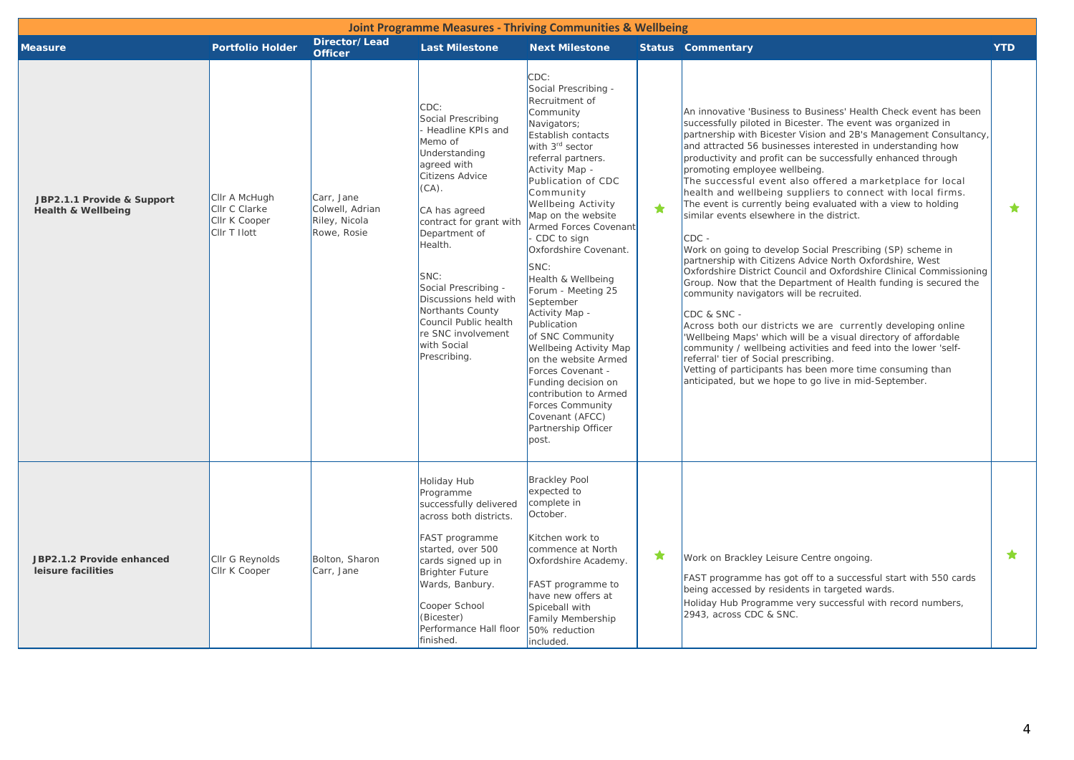| <b>Joint Programme Measures - Thriving Communities &amp; Wellbeing</b> |                                                                 |                                                               |                                                                                                                                                                                                                                                                                                                                                              |                                                                                                                                                                                                                                                                                                                                                                                                                                                                                                                                                                                                                                 |   |                                                                                                                                                                                                                                                                                                                                                                                                                                                                                                                                                                                                                                                                                                                                                                                                                                                                                                                                                                                                                                                                                                                                                                                                                                                                                                                              |            |  |  |
|------------------------------------------------------------------------|-----------------------------------------------------------------|---------------------------------------------------------------|--------------------------------------------------------------------------------------------------------------------------------------------------------------------------------------------------------------------------------------------------------------------------------------------------------------------------------------------------------------|---------------------------------------------------------------------------------------------------------------------------------------------------------------------------------------------------------------------------------------------------------------------------------------------------------------------------------------------------------------------------------------------------------------------------------------------------------------------------------------------------------------------------------------------------------------------------------------------------------------------------------|---|------------------------------------------------------------------------------------------------------------------------------------------------------------------------------------------------------------------------------------------------------------------------------------------------------------------------------------------------------------------------------------------------------------------------------------------------------------------------------------------------------------------------------------------------------------------------------------------------------------------------------------------------------------------------------------------------------------------------------------------------------------------------------------------------------------------------------------------------------------------------------------------------------------------------------------------------------------------------------------------------------------------------------------------------------------------------------------------------------------------------------------------------------------------------------------------------------------------------------------------------------------------------------------------------------------------------------|------------|--|--|
| <b>Measure</b>                                                         | <b>Portfolio Holder</b>                                         | Director/Lead<br><b>Officer</b>                               | <b>Last Milestone</b>                                                                                                                                                                                                                                                                                                                                        | <b>Next Milestone</b>                                                                                                                                                                                                                                                                                                                                                                                                                                                                                                                                                                                                           |   | <b>Status Commentary</b>                                                                                                                                                                                                                                                                                                                                                                                                                                                                                                                                                                                                                                                                                                                                                                                                                                                                                                                                                                                                                                                                                                                                                                                                                                                                                                     | <b>YTD</b> |  |  |
| JBP2.1.1 Provide & Support<br><b>Health &amp; Wellbeing</b>            | Cllr A McHugh<br>Cllr C Clarke<br>Cllr K Cooper<br>CIIr T Ilott | Carr, Jane<br>Colwell, Adrian<br>Riley, Nicola<br>Rowe, Rosie | CDC:<br>Social Prescribing<br>Headline KPIs and<br>Memo of<br>Understanding<br>agreed with<br>Citizens Advice<br>$(CA)$ .<br>CA has agreed<br>contract for grant with<br>Department of<br>Health.<br>SNC:<br>Social Prescribing -<br>Discussions held with<br>Northants County<br>Council Public health<br>re SNC involvement<br>with Social<br>Prescribing. | CDC:<br>Social Prescribing -<br>Recruitment of<br>Community<br>Navigators;<br>Establish contacts<br>with 3rd sector<br>referral partners.<br>Activity Map -<br>Publication of CDC<br>Community<br>Wellbeing Activity<br>Map on the website<br>Armed Forces Covenant<br>CDC to sign<br>Oxfordshire Covenant.<br>SNC:<br>Health & Wellbeing<br>Forum - Meeting 25<br>September<br>Activity Map -<br>Publication<br>of SNC Community<br>Wellbeing Activity Map<br>on the website Armed<br>Forces Covenant -<br>Funding decision on<br>contribution to Armed<br>Forces Community<br>Covenant (AFCC)<br>Partnership Officer<br>post. | ╈ | An innovative 'Business to Business' Health Check event has been<br>successfully piloted in Bicester. The event was organized in<br>partnership with Bicester Vision and 2B's Management Consultancy,<br>and attracted 56 businesses interested in understanding how<br>productivity and profit can be successfully enhanced through<br>promoting employee wellbeing.<br>The successful event also offered a marketplace for local<br>health and wellbeing suppliers to connect with local firms.<br>The event is currently being evaluated with a view to holding<br>similar events elsewhere in the district.<br>$CDC -$<br>Work on going to develop Social Prescribing (SP) scheme in<br>partnership with Citizens Advice North Oxfordshire, West<br>Oxfordshire District Council and Oxfordshire Clinical Commissioning<br>Group. Now that the Department of Health funding is secured the<br>community navigators will be recruited.<br>CDC & SNC -<br>Across both our districts we are currently developing online<br>Wellbeing Maps' which will be a visual directory of affordable<br>community / wellbeing activities and feed into the lower 'self-<br>referral' tier of Social prescribing.<br>Vetting of participants has been more time consuming than<br>anticipated, but we hope to go live in mid-September. | $\bigstar$ |  |  |
| JBP2.1.2 Provide enhanced<br>leisure facilities                        | Cllr G Reynolds<br>Cllr K Cooper                                | Bolton, Sharon<br>Carr, Jane                                  | <b>Holiday Hub</b><br>Programme<br>successfully delivered<br>across both districts.<br>FAST programme<br>started, over 500<br>cards signed up in<br><b>Brighter Future</b><br>Wards, Banbury.<br>Cooper School<br>(Bicester)<br>Performance Hall floor<br>finished.                                                                                          | <b>Brackley Pool</b><br>expected to<br>complete in<br>October.<br>Kitchen work to<br>commence at North<br>Oxfordshire Academy.<br>FAST programme to<br>have new offers at<br>Spiceball with<br>Family Membership<br>50% reduction<br>included.                                                                                                                                                                                                                                                                                                                                                                                  | ★ | Work on Brackley Leisure Centre ongoing.<br><b>FAST</b> programme has got off to a successful start with 550 cards<br>being accessed by residents in targeted wards.<br>Holiday Hub Programme very successful with record numbers,<br>2943, across CDC & SNC.                                                                                                                                                                                                                                                                                                                                                                                                                                                                                                                                                                                                                                                                                                                                                                                                                                                                                                                                                                                                                                                                | $\star$    |  |  |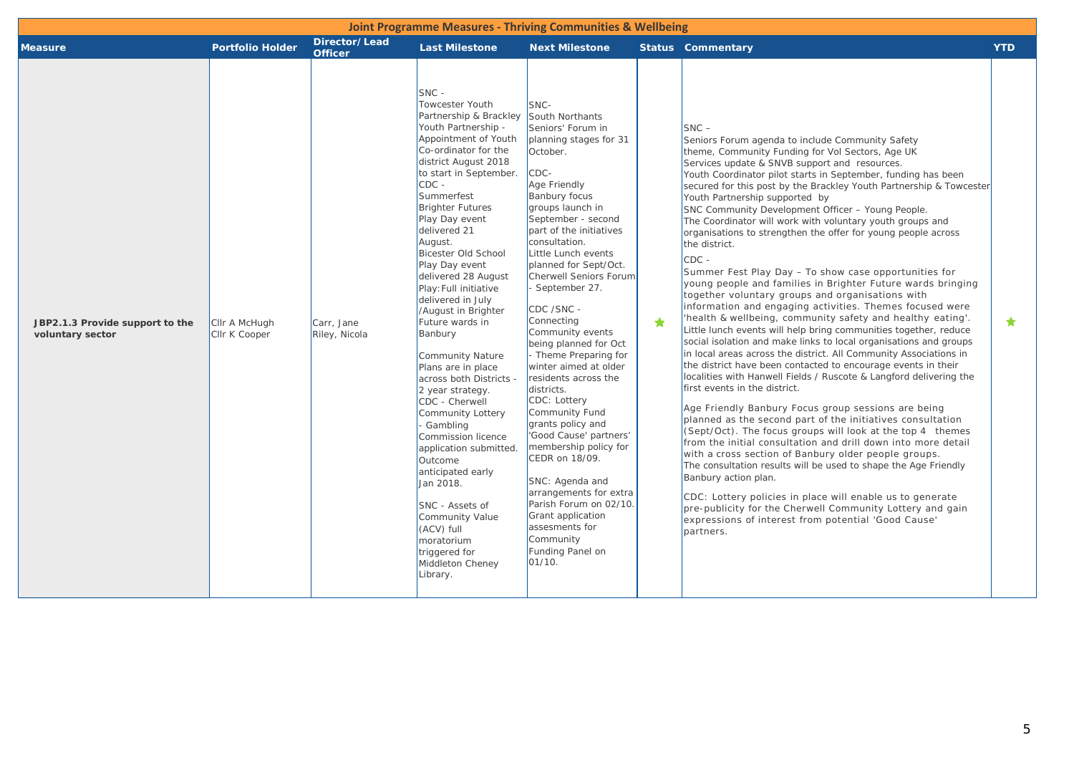| <b>Joint Programme Measures - Thriving Communities &amp; Wellbeing</b> |                                |                                 |                                                                                                                                                                                                                                                                                                                                                                                                                                                                                                                                                                                                                                                                                                                                                                                                               |                                                                                                                                                                                                                                                                                                                                                                                                                                                                                                                                                                                                                                                                                                                                                                           |   |                                                                                                                                                                                                                                                                                                                                                                                                                                                                                                                                                                                                                                                                                                                                                                                                                                                                                                                                                                                                                                                                                                                                                                                                                                                                                                                                                                                                                                                                                                                                                                                                                                                                                                                                                                                                                                                            |            |  |  |
|------------------------------------------------------------------------|--------------------------------|---------------------------------|---------------------------------------------------------------------------------------------------------------------------------------------------------------------------------------------------------------------------------------------------------------------------------------------------------------------------------------------------------------------------------------------------------------------------------------------------------------------------------------------------------------------------------------------------------------------------------------------------------------------------------------------------------------------------------------------------------------------------------------------------------------------------------------------------------------|---------------------------------------------------------------------------------------------------------------------------------------------------------------------------------------------------------------------------------------------------------------------------------------------------------------------------------------------------------------------------------------------------------------------------------------------------------------------------------------------------------------------------------------------------------------------------------------------------------------------------------------------------------------------------------------------------------------------------------------------------------------------------|---|------------------------------------------------------------------------------------------------------------------------------------------------------------------------------------------------------------------------------------------------------------------------------------------------------------------------------------------------------------------------------------------------------------------------------------------------------------------------------------------------------------------------------------------------------------------------------------------------------------------------------------------------------------------------------------------------------------------------------------------------------------------------------------------------------------------------------------------------------------------------------------------------------------------------------------------------------------------------------------------------------------------------------------------------------------------------------------------------------------------------------------------------------------------------------------------------------------------------------------------------------------------------------------------------------------------------------------------------------------------------------------------------------------------------------------------------------------------------------------------------------------------------------------------------------------------------------------------------------------------------------------------------------------------------------------------------------------------------------------------------------------------------------------------------------------------------------------------------------------|------------|--|--|
| <b>Measure</b>                                                         | <b>Portfolio Holder</b>        | Director/Lead<br><b>Officer</b> | <b>Last Milestone</b>                                                                                                                                                                                                                                                                                                                                                                                                                                                                                                                                                                                                                                                                                                                                                                                         | <b>Next Milestone</b>                                                                                                                                                                                                                                                                                                                                                                                                                                                                                                                                                                                                                                                                                                                                                     |   | <b>Status Commentary</b>                                                                                                                                                                                                                                                                                                                                                                                                                                                                                                                                                                                                                                                                                                                                                                                                                                                                                                                                                                                                                                                                                                                                                                                                                                                                                                                                                                                                                                                                                                                                                                                                                                                                                                                                                                                                                                   | <b>YTD</b> |  |  |
| JBP2.1.3 Provide support to the<br>voluntary sector                    | Cllr A McHugh<br>Cllr K Cooper | Carr, Jane<br>Riley, Nicola     | $SNC -$<br>Towcester Youth<br>Partnership & Brackley<br>Youth Partnership -<br>Appointment of Youth<br>Co-ordinator for the<br>district August 2018<br>to start in September.<br>$CDC -$<br>Summerfest<br><b>Brighter Futures</b><br>Play Day event<br>delivered 21<br>August.<br>Bicester Old School<br>Play Day event<br>delivered 28 August<br>Play: Full initiative<br>delivered in July<br>/August in Brighter<br>Future wards in<br>Banbury<br>Community Nature<br>Plans are in place<br>across both Districts -<br>2 year strategy.<br>CDC - Cherwell<br>Community Lottery<br>Gambling<br>Commission licence<br>application submitted.<br>Outcome<br>anticipated early<br>Jan 2018.<br>SNC - Assets of<br>Community Value<br>(ACV) full<br>moratorium<br>triggered for<br>Middleton Cheney<br>Library. | SNC-<br>South Northants<br>Seniors' Forum in<br>planning stages for 31<br>October.<br>CDC-<br>Age Friendly<br><b>Banbury focus</b><br>groups launch in<br>September - second<br>part of the initiatives<br>consultation.<br>Little Lunch events<br>planned for Sept/Oct.<br>Cherwell Seniors Forum<br>September 27.<br>CDC /SNC -<br>Connecting<br>Community events<br>being planned for Oct<br>- Theme Preparing for<br>winter aimed at older<br>residents across the<br>districts.<br>CDC: Lottery<br>Community Fund<br>grants policy and<br>'Good Cause' partners'<br>membership policy for<br>CEDR on 18/09.<br>SNC: Agenda and<br>arrangements for extra<br>Parish Forum on 02/10.<br>Grant application<br>assesments for<br>Community<br>Funding Panel on<br>01/10. | ★ | $SNC -$<br>Seniors Forum agenda to include Community Safety<br>theme, Community Funding for Vol Sectors, Age UK<br>Services update & SNVB support and resources.<br>Youth Coordinator pilot starts in September, funding has been<br>secured for this post by the Brackley Youth Partnership & Towcester<br>Youth Partnership supported by<br>SNC Community Development Officer - Young People.<br>The Coordinator will work with voluntary youth groups and<br>organisations to strengthen the offer for young people across<br>the district.<br>$CDC -$<br>Summer Fest Play Day - To show case opportunities for<br>young people and families in Brighter Future wards bringing<br>together voluntary groups and organisations with<br>information and engaging activities. Themes focused were<br>'health & wellbeing, community safety and healthy eating'.<br>Little lunch events will help bring communities together, reduce<br>social isolation and make links to local organisations and groups<br>in local areas across the district. All Community Associations in<br>the district have been contacted to encourage events in their<br>localities with Hanwell Fields / Ruscote & Langford delivering the<br>first events in the district.<br>Age Friendly Banbury Focus group sessions are being<br>planned as the second part of the initiatives consultation<br>(Sept/Oct). The focus groups will look at the top 4 themes<br>from the initial consultation and drill down into more detail<br>with a cross section of Banbury older people groups.<br>The consultation results will be used to shape the Age Friendly<br>Banbury action plan.<br>CDC: Lottery policies in place will enable us to generate<br>pre-publicity for the Cherwell Community Lottery and gain<br>expressions of interest from potential 'Good Cause'<br>partners. | $\bigstar$ |  |  |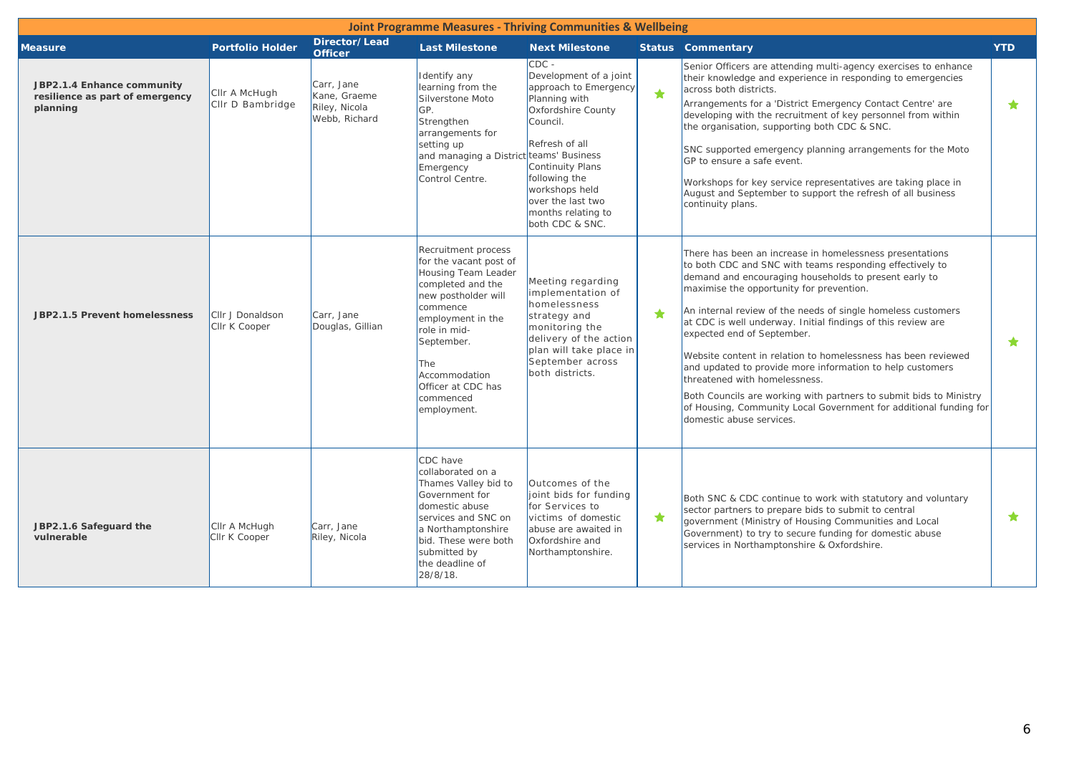| <b>Joint Programme Measures - Thriving Communities &amp; Wellbeing</b>    |                                   |                                                              |                                                                                                                                                                                                                                                           |                                                                                                                                                                                                                                                      |            |                                                                                                                                                                                                                                                                                                                                                                                                                                                                                                                                                                                                                                                                                                                               |            |  |  |
|---------------------------------------------------------------------------|-----------------------------------|--------------------------------------------------------------|-----------------------------------------------------------------------------------------------------------------------------------------------------------------------------------------------------------------------------------------------------------|------------------------------------------------------------------------------------------------------------------------------------------------------------------------------------------------------------------------------------------------------|------------|-------------------------------------------------------------------------------------------------------------------------------------------------------------------------------------------------------------------------------------------------------------------------------------------------------------------------------------------------------------------------------------------------------------------------------------------------------------------------------------------------------------------------------------------------------------------------------------------------------------------------------------------------------------------------------------------------------------------------------|------------|--|--|
| <b>Measure</b>                                                            | <b>Portfolio Holder</b>           | Director/Lead<br><b>Officer</b>                              | <b>Last Milestone</b>                                                                                                                                                                                                                                     | <b>Next Milestone</b>                                                                                                                                                                                                                                |            | <b>Status Commentary</b>                                                                                                                                                                                                                                                                                                                                                                                                                                                                                                                                                                                                                                                                                                      | <b>YTD</b> |  |  |
| JBP2.1.4 Enhance community<br>resilience as part of emergency<br>planning | Cllr A McHugh<br>CIIr D Bambridge | Carr, Jane<br>Kane, Graeme<br>Riley, Nicola<br>Webb, Richard | Identify any<br>learning from the<br>Silverstone Moto<br>GP.<br>Strengthen<br>arrangements for<br>setting up<br>and managing a District teams' Business<br>Emergency<br>Control Centre.                                                                   | $CDC -$<br>Development of a joint<br>approach to Emergency<br>Planning with<br>Oxfordshire County<br>Council.<br>Refresh of all<br>Continuity Plans<br>following the<br>workshops held<br>over the last two<br>months relating to<br>both CDC & SNC. | $\bigstar$ | Senior Officers are attending multi-agency exercises to enhance<br>their knowledge and experience in responding to emergencies<br>across both districts.<br>Arrangements for a 'District Emergency Contact Centre' are<br>developing with the recruitment of key personnel from within<br>the organisation, supporting both CDC & SNC.<br>SNC supported emergency planning arrangements for the Moto<br>GP to ensure a safe event.<br>Workshops for key service representatives are taking place in<br>August and September to support the refresh of all business<br>continuity plans.                                                                                                                                       | $\bigstar$ |  |  |
| JBP2.1.5 Prevent homelessness                                             | Cllr J Donaldson<br>Cllr K Cooper | Carr, Jane<br>Douglas, Gillian                               | Recruitment process<br>for the vacant post of<br>Housing Team Leader<br>completed and the<br>new postholder will<br>commence<br>employment in the<br>role in mid-<br>September.<br>The<br>Accommodation<br>Officer at CDC has<br>commenced<br>employment. | Meeting regarding<br>implementation of<br>homelessness<br>strategy and<br>monitoring the<br>delivery of the action<br>plan will take place in<br>September across<br>both districts.                                                                 | $\bigstar$ | There has been an increase in homelessness presentations<br>to both CDC and SNC with teams responding effectively to<br>demand and encouraging households to present early to<br>maximise the opportunity for prevention.<br>An internal review of the needs of single homeless customers<br>at CDC is well underway. Initial findings of this review are<br>expected end of September.<br>Website content in relation to homelessness has been reviewed<br>and updated to provide more information to help customers<br>threatened with homelessness.<br>Both Councils are working with partners to submit bids to Ministry<br>of Housing, Community Local Government for additional funding for<br>domestic abuse services. | $\bigstar$ |  |  |
| JBP2.1.6 Safeguard the<br>vulnerable                                      | Cllr A McHugh<br>CIIr K Cooper    | Carr, Jane<br>Riley, Nicola                                  | CDC have<br>collaborated on a<br>Thames Valley bid to<br>Government for<br>domestic abuse<br>services and SNC on<br>a Northamptonshire<br>bid. These were both<br>submitted by<br>the deadline of<br>28/8/18.                                             | Outcomes of the<br>joint bids for funding<br>for Services to<br>victims of domestic<br>abuse are awaited in<br>Oxfordshire and<br>Northamptonshire.                                                                                                  | $\bigstar$ | Both SNC & CDC continue to work with statutory and voluntary<br>sector partners to prepare bids to submit to central<br>government (Ministry of Housing Communities and Local<br>Government) to try to secure funding for domestic abuse<br>services in Northamptonshire & Oxfordshire.                                                                                                                                                                                                                                                                                                                                                                                                                                       | $\bigstar$ |  |  |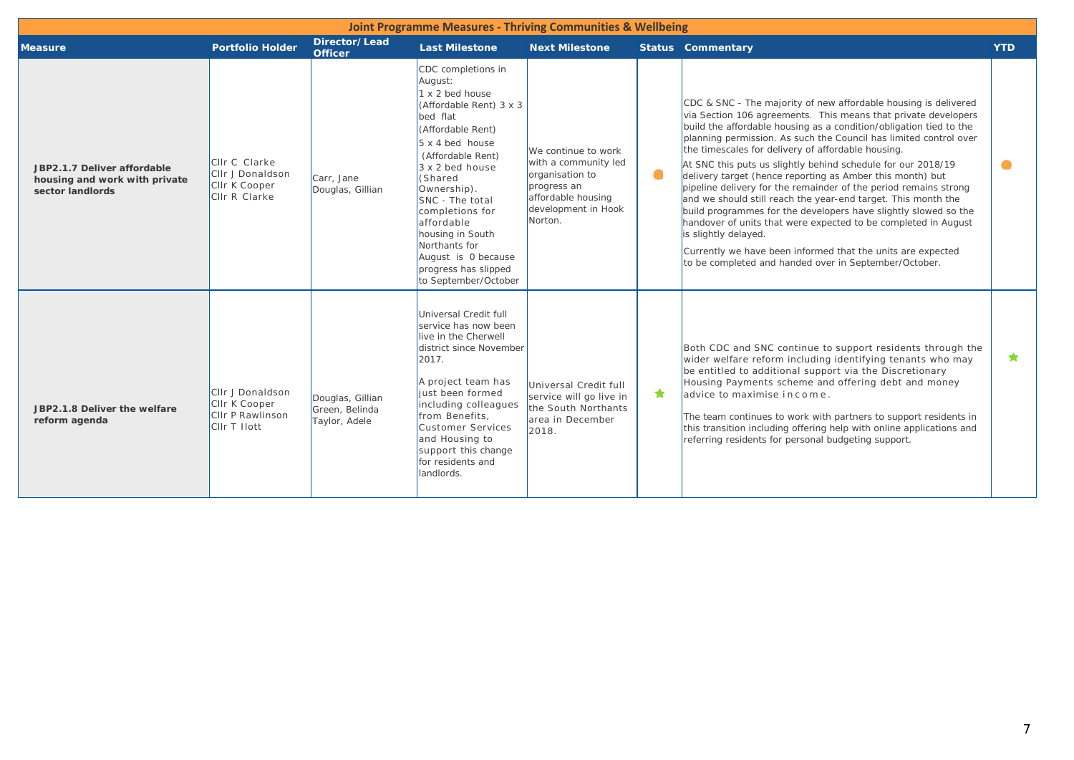| <b>Joint Programme Measures - Thriving Communities &amp; Wellbeing</b>           |                                                                             |                                                     |                                                                                                                                                                                                                                                                                                                                                                                        |                                                                                                                                       |           |                                                                                                                                                                                                                                                                                                                                                                                                                                                                                                                                                                                                                                                                                                                                                                                                                                                                                           |            |  |  |  |
|----------------------------------------------------------------------------------|-----------------------------------------------------------------------------|-----------------------------------------------------|----------------------------------------------------------------------------------------------------------------------------------------------------------------------------------------------------------------------------------------------------------------------------------------------------------------------------------------------------------------------------------------|---------------------------------------------------------------------------------------------------------------------------------------|-----------|-------------------------------------------------------------------------------------------------------------------------------------------------------------------------------------------------------------------------------------------------------------------------------------------------------------------------------------------------------------------------------------------------------------------------------------------------------------------------------------------------------------------------------------------------------------------------------------------------------------------------------------------------------------------------------------------------------------------------------------------------------------------------------------------------------------------------------------------------------------------------------------------|------------|--|--|--|
| <b>Measure</b>                                                                   | <b>Portfolio Holder</b>                                                     | Director/Lead<br><b>Officer</b>                     | <b>Last Milestone</b>                                                                                                                                                                                                                                                                                                                                                                  | <b>Next Milestone</b>                                                                                                                 |           | <b>Status Commentary</b>                                                                                                                                                                                                                                                                                                                                                                                                                                                                                                                                                                                                                                                                                                                                                                                                                                                                  | <b>YTD</b> |  |  |  |
| JBP2.1.7 Deliver affordable<br>housing and work with private<br>sector landlords | Cllr C Clarke<br>CIIr J Donaldson<br>CIIr K Cooper<br>CIIr R Clarke         | Carr, Jane<br>Douglas, Gillian                      | CDC completions in<br>August:<br>$1 \times 2$ bed house<br>(Affordable Rent) 3 x 3<br>bed flat<br>(Affordable Rent)<br>$5 \times 4$ bed house<br>(Affordable Rent)<br>$3 \times 2$ bed house<br>(Shared<br>Ownership).<br>SNC - The total<br>completions for<br>affordable<br>housing in South<br>Northants for<br>August is 0 because<br>progress has slipped<br>to September/October | We continue to work<br>with a community led<br>organisation to<br>progress an<br>affordable housing<br>development in Hook<br>Norton. | $\bullet$ | CDC & SNC - The majority of new affordable housing is delivered<br>via Section 106 agreements. This means that private developers<br>build the affordable housing as a condition/obligation tied to the<br>planning permission. As such the Council has limited control over<br>the timescales for delivery of affordable housing.<br>At SNC this puts us slightly behind schedule for our 2018/19<br>delivery target (hence reporting as Amber this month) but<br>pipeline delivery for the remainder of the period remains strong<br>and we should still reach the year-end target. This month the<br>build programmes for the developers have slightly slowed so the<br>handover of units that were expected to be completed in August<br>is slightly delayed.<br>Currently we have been informed that the units are expected<br>to be completed and handed over in September/October. |            |  |  |  |
| JBP2.1.8 Deliver the welfare<br>reform agenda                                    | CIIr J Donaldson<br>CIIr K Cooper<br>CIIr P Rawlinson<br><b>CIIr T Hott</b> | Douglas, Gillian<br>Green, Belinda<br>Taylor, Adele | Universal Credit full<br>service has now been<br>live in the Cherwell<br>district since November<br>2017.<br>A project team has<br>liust been formed<br>including colleagues<br>from Benefits,<br>Customer Services<br>and Housing to<br>support this change<br>for residents and<br>landlords.                                                                                        | Universal Credit full<br>service will go live in<br>the South Northants<br>area in December<br>2018.                                  | ★         | Both CDC and SNC continue to support residents through the<br>wider welfare reform including identifying tenants who may<br>be entitled to additional support via the Discretionary<br>Housing Payments scheme and offering debt and money<br>advice to maximise income.<br>The team continues to work with partners to support residents in<br>this transition including offering help with online applications and<br>referring residents for personal budgeting support.                                                                                                                                                                                                                                                                                                                                                                                                               | $\star$    |  |  |  |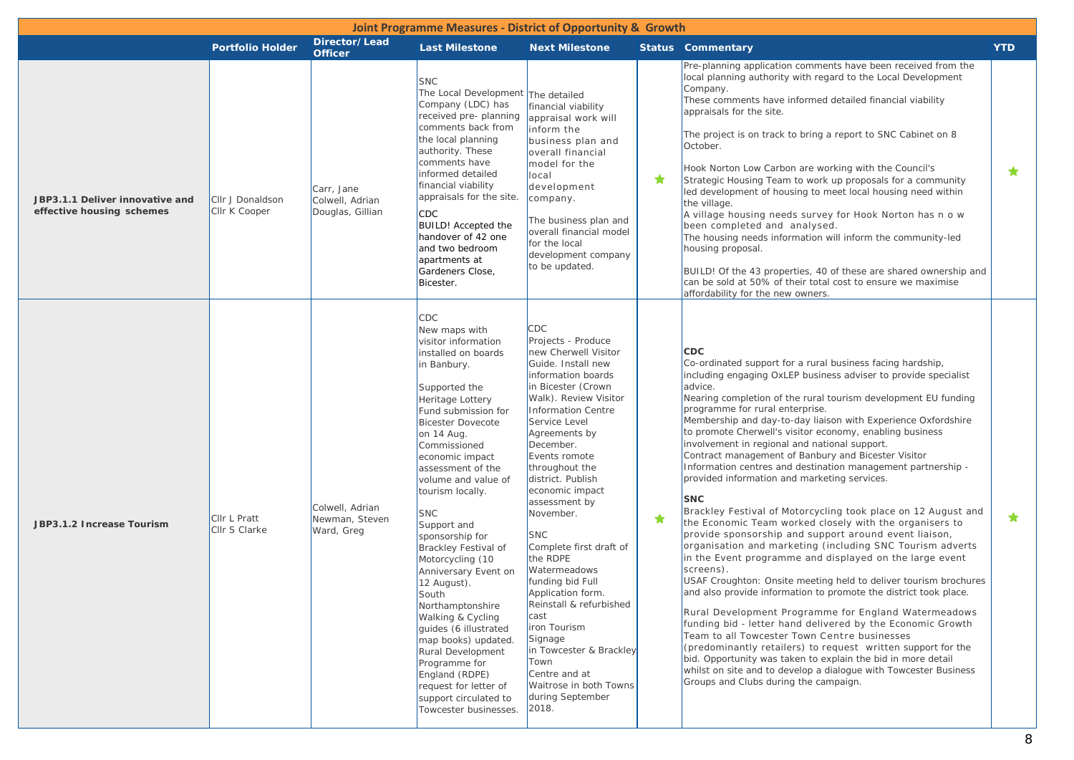| <b>Joint Programme Measures - District of Opportunity &amp; Growth</b> |                                   |                                                   |                                                                                                                                                                                                                                                                                                                                                                                                                                                                                                                                                                                                                                                             |                                                                                                                                                                                                                                                                                                                                                                                                                                                                                                                                                                                                                   |   |                                                                                                                                                                                                                                                                                                                                                                                                                                                                                                                                                                                                                                                                                                                                                                                                                                                                                                                                                                                                                                                                                                                                                                                                                                                                                                                                                                                                                                                                                                                     |            |  |  |  |
|------------------------------------------------------------------------|-----------------------------------|---------------------------------------------------|-------------------------------------------------------------------------------------------------------------------------------------------------------------------------------------------------------------------------------------------------------------------------------------------------------------------------------------------------------------------------------------------------------------------------------------------------------------------------------------------------------------------------------------------------------------------------------------------------------------------------------------------------------------|-------------------------------------------------------------------------------------------------------------------------------------------------------------------------------------------------------------------------------------------------------------------------------------------------------------------------------------------------------------------------------------------------------------------------------------------------------------------------------------------------------------------------------------------------------------------------------------------------------------------|---|---------------------------------------------------------------------------------------------------------------------------------------------------------------------------------------------------------------------------------------------------------------------------------------------------------------------------------------------------------------------------------------------------------------------------------------------------------------------------------------------------------------------------------------------------------------------------------------------------------------------------------------------------------------------------------------------------------------------------------------------------------------------------------------------------------------------------------------------------------------------------------------------------------------------------------------------------------------------------------------------------------------------------------------------------------------------------------------------------------------------------------------------------------------------------------------------------------------------------------------------------------------------------------------------------------------------------------------------------------------------------------------------------------------------------------------------------------------------------------------------------------------------|------------|--|--|--|
|                                                                        | <b>Portfolio Holder</b>           | Director/Lead<br><b>Officer</b>                   | <b>Last Milestone</b>                                                                                                                                                                                                                                                                                                                                                                                                                                                                                                                                                                                                                                       | <b>Next Milestone</b>                                                                                                                                                                                                                                                                                                                                                                                                                                                                                                                                                                                             |   | <b>Status Commentary</b>                                                                                                                                                                                                                                                                                                                                                                                                                                                                                                                                                                                                                                                                                                                                                                                                                                                                                                                                                                                                                                                                                                                                                                                                                                                                                                                                                                                                                                                                                            | <b>YTD</b> |  |  |  |
| JBP3.1.1 Deliver innovative and<br>effective housing schemes           | Cllr J Donaldson<br>Cllr K Cooper | Carr, Jane<br>Colwell, Adrian<br>Douglas, Gillian | <b>SNC</b><br>The Local Development The detailed<br>Company (LDC) has<br>received pre- planning<br>comments back from<br>the local planning<br>authority. These<br>comments have<br>informed detailed<br>financial viability<br>appraisals for the site.<br><b>CDC</b><br><b>BUILD!</b> Accepted the<br>handover of 42 one<br>and two bedroom<br>apartments at<br>Gardeners Close,<br>Bicester.                                                                                                                                                                                                                                                             | financial viability<br>appraisal work will<br>inform the<br>business plan and<br>overall financial<br>model for the<br>local<br>development<br>company.<br>The business plan and<br>overall financial model<br>for the local<br>development company<br>to be updated.                                                                                                                                                                                                                                                                                                                                             | ★ | Pre-planning application comments have been received from the<br>local planning authority with regard to the Local Development<br>Company.<br>These comments have informed detailed financial viability<br>appraisals for the site.<br>The project is on track to bring a report to SNC Cabinet on 8<br>October.<br>Hook Norton Low Carbon are working with the Council's<br>Strategic Housing Team to work up proposals for a community<br>led development of housing to meet local housing need within<br>the village.<br>A village housing needs survey for Hook Norton has n o w<br>been completed and analysed.<br>The housing needs information will inform the community-led<br>housing proposal.<br>BUILD! Of the 43 properties, 40 of these are shared ownership and<br>can be sold at 50% of their total cost to ensure we maximise<br>affordability for the new owners.                                                                                                                                                                                                                                                                                                                                                                                                                                                                                                                                                                                                                                  | $\bigstar$ |  |  |  |
| JBP3.1.2 Increase Tourism                                              | Cllr L Pratt<br>Cllr S Clarke     | Colwell, Adrian<br>Newman, Steven<br>Ward, Greg   | CDC<br>New maps with<br>visitor information<br>installed on boards<br>in Banbury.<br>Supported the<br>Heritage Lottery<br>Fund submission for<br><b>Bicester Dovecote</b><br>on 14 Aug.<br>Commissioned<br>economic impact<br>assessment of the<br>volume and value of<br>tourism locally.<br>SNC<br>Support and<br>sponsorship for<br>Brackley Festival of<br>Motorcycling (10<br>Anniversary Event on<br>12 August).<br>South<br>Northamptonshire<br>Walking & Cycling<br>quides (6 illustrated<br>map books) updated.<br>Rural Development<br>Programme for<br>England (RDPE)<br>request for letter of<br>support circulated to<br>Towcester businesses. | CDC<br>Projects - Produce<br>new Cherwell Visitor<br>Guide. Install new<br>information boards<br>in Bicester (Crown<br>Walk). Review Visitor<br>Information Centre<br>Service Level<br>Agreements by<br>December.<br>Events romote<br>throughout the<br>district. Publish<br>economic impact<br>assessment by<br>November.<br><b>SNC</b><br>Complete first draft of<br>the RDPE<br>Watermeadows<br>funding bid Full<br>Application form.<br>Reinstall & refurbished<br>cast<br>iron Tourism<br>Signage<br>in Towcester & Brackley<br>Town<br>Centre and at<br>Waitrose in both Towns<br>during September<br>2018. | ★ | <b>CDC</b><br>Co-ordinated support for a rural business facing hardship,<br>including engaging OxLEP business adviser to provide specialist<br>advice.<br>Nearing completion of the rural tourism development EU funding<br>programme for rural enterprise.<br>Membership and day-to-day liaison with Experience Oxfordshire<br>to promote Cherwell's visitor economy, enabling business<br>involvement in regional and national support.<br>Contract management of Banbury and Bicester Visitor<br>Information centres and destination management partnership -<br>provided information and marketing services.<br><b>SNC</b><br>Brackley Festival of Motorcycling took place on 12 August and<br>the Economic Team worked closely with the organisers to<br>provide sponsorship and support around event liaison,<br>organisation and marketing (including SNC Tourism adverts<br>in the Event programme and displayed on the large event<br>screens).<br>USAF Croughton: Onsite meeting held to deliver tourism brochures<br>and also provide information to promote the district took place.<br>Rural Development Programme for England Watermeadows<br>funding bid - letter hand delivered by the Economic Growth<br>Team to all Towcester Town Centre businesses<br>(predominantly retailers) to request written support for the<br>bid. Opportunity was taken to explain the bid in more detail<br>whilst on site and to develop a dialogue with Towcester Business<br>Groups and Clubs during the campaign. | ★          |  |  |  |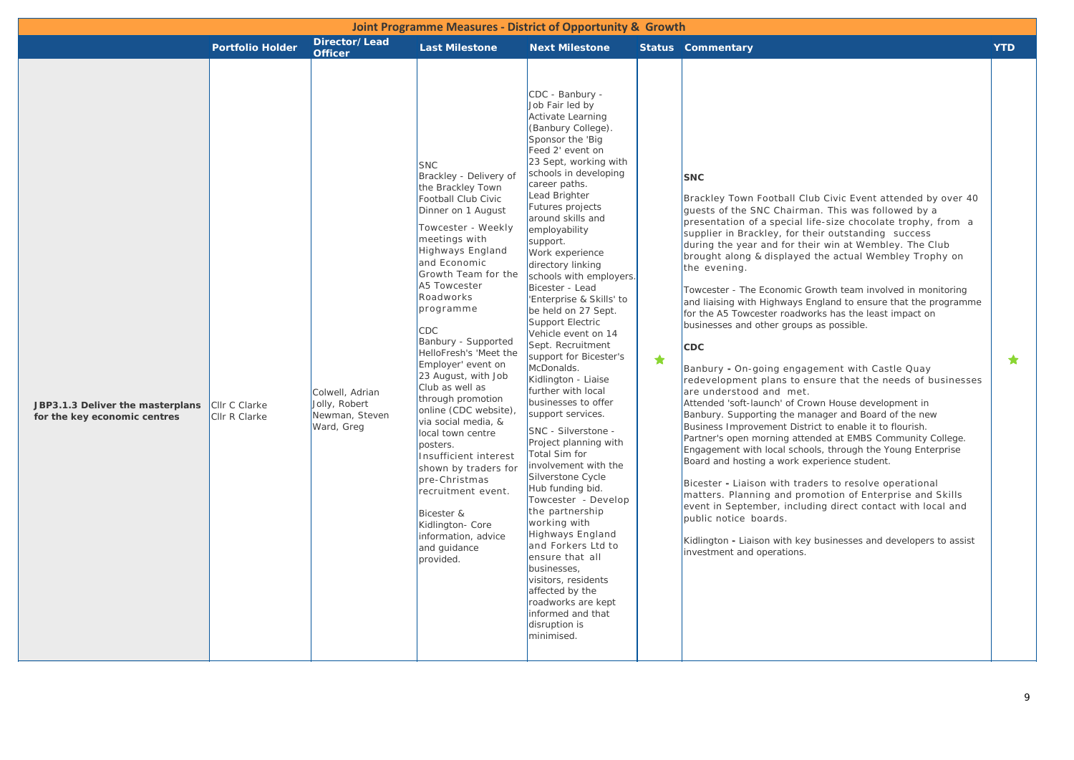| Joint Programme Measures - District of Opportunity & Growth      |                                |                                                                  |                                                                                                                                                                                                                                                                                                                                                                                                                                                                                                                                                                                                                                                                 |                                                                                                                                                                                                                                                                                                                                                                                                                                                                                                                                                                                                                                                                                                                                                                                                                                                                                                                                                                                                                              |   |                                                                                                                                                                                                                                                                                                                                                                                                                                                                                                                                                                                                                                                                                                                                                                                                                                                                                                                                                                                                                                                                                                                                                                                                                                                                                                                                                                                                                                                                      |            |  |  |  |
|------------------------------------------------------------------|--------------------------------|------------------------------------------------------------------|-----------------------------------------------------------------------------------------------------------------------------------------------------------------------------------------------------------------------------------------------------------------------------------------------------------------------------------------------------------------------------------------------------------------------------------------------------------------------------------------------------------------------------------------------------------------------------------------------------------------------------------------------------------------|------------------------------------------------------------------------------------------------------------------------------------------------------------------------------------------------------------------------------------------------------------------------------------------------------------------------------------------------------------------------------------------------------------------------------------------------------------------------------------------------------------------------------------------------------------------------------------------------------------------------------------------------------------------------------------------------------------------------------------------------------------------------------------------------------------------------------------------------------------------------------------------------------------------------------------------------------------------------------------------------------------------------------|---|----------------------------------------------------------------------------------------------------------------------------------------------------------------------------------------------------------------------------------------------------------------------------------------------------------------------------------------------------------------------------------------------------------------------------------------------------------------------------------------------------------------------------------------------------------------------------------------------------------------------------------------------------------------------------------------------------------------------------------------------------------------------------------------------------------------------------------------------------------------------------------------------------------------------------------------------------------------------------------------------------------------------------------------------------------------------------------------------------------------------------------------------------------------------------------------------------------------------------------------------------------------------------------------------------------------------------------------------------------------------------------------------------------------------------------------------------------------------|------------|--|--|--|
|                                                                  | <b>Portfolio Holder</b>        | Director/Lead<br><b>Officer</b>                                  | <b>Last Milestone</b>                                                                                                                                                                                                                                                                                                                                                                                                                                                                                                                                                                                                                                           | <b>Next Milestone</b>                                                                                                                                                                                                                                                                                                                                                                                                                                                                                                                                                                                                                                                                                                                                                                                                                                                                                                                                                                                                        |   | <b>Status Commentary</b>                                                                                                                                                                                                                                                                                                                                                                                                                                                                                                                                                                                                                                                                                                                                                                                                                                                                                                                                                                                                                                                                                                                                                                                                                                                                                                                                                                                                                                             | <b>YTD</b> |  |  |  |
| JBP3.1.3 Deliver the masterplans<br>for the key economic centres | Cllr C Clarke<br>Cllr R Clarke | Colwell, Adrian<br>Jolly, Robert<br>Newman, Steven<br>Ward, Greg | <b>SNC</b><br>Brackley - Delivery of<br>the Brackley Town<br>Football Club Civic<br>Dinner on 1 August<br>Towcester - Weekly<br>meetings with<br>Highways England<br>and Economic<br>Growth Team for the<br>A5 Towcester<br>Roadworks<br>programme<br>CDC.<br>Banbury - Supported<br>HelloFresh's 'Meet the<br>Employer' event on<br>23 August, with Job<br>Club as well as<br>through promotion<br>online (CDC website),<br>via social media, &<br>local town centre<br>posters.<br>Insufficient interest<br>shown by traders for<br>pre-Christmas<br>recruitment event.<br>Bicester &<br>Kidlington- Core<br>information, advice<br>and guidance<br>provided. | CDC - Banbury -<br>Job Fair led by<br><b>Activate Learning</b><br>(Banbury College).<br>Sponsor the 'Big<br>Feed 2' event on<br>23 Sept, working with<br>schools in developing<br>career paths.<br>Lead Brighter<br>Futures projects<br>around skills and<br>employability<br>support.<br>Work experience<br>directory linking<br>schools with employers.<br>Bicester - Lead<br>'Enterprise & Skills' to<br>be held on 27 Sept.<br>Support Electric<br>Vehicle event on 14<br>Sept. Recruitment<br>support for Bicester's<br>McDonalds.<br>Kidlington - Liaise<br>further with local<br>businesses to offer<br>support services.<br>SNC - Silverstone -<br>Project planning with<br>Total Sim for<br>involvement with the<br>Silverstone Cycle<br>Hub funding bid.<br>Towcester - Develop<br>the partnership<br>working with<br>Highways England<br>and Forkers Ltd to<br>ensure that all<br>businesses,<br>visitors, residents<br>affected by the<br>roadworks are kept<br>informed and that<br>disruption is<br>minimised. | ★ | <b>SNC</b><br>Brackley Town Football Club Civic Event attended by over 40<br>quests of the SNC Chairman. This was followed by a<br>presentation of a special life-size chocolate trophy, from a<br>supplier in Brackley, for their outstanding success<br>during the year and for their win at Wembley. The Club<br>brought along & displayed the actual Wembley Trophy on<br>the evening.<br>Towcester - The Economic Growth team involved in monitoring<br>and liaising with Highways England to ensure that the programme<br>for the A5 Towcester roadworks has the least impact on<br>businesses and other groups as possible.<br><b>CDC</b><br>Banbury - On-going engagement with Castle Quay<br>redevelopment plans to ensure that the needs of businesses<br>are understood and met.<br>Attended 'soft-launch' of Crown House development in<br>Banbury. Supporting the manager and Board of the new<br>Business Improvement District to enable it to flourish.<br>Partner's open morning attended at EMBS Community College.<br>Engagement with local schools, through the Young Enterprise<br>Board and hosting a work experience student.<br>Bicester - Liaison with traders to resolve operational<br>matters. Planning and promotion of Enterprise and Skills<br>event in September, including direct contact with local and<br>public notice boards.<br>Kidlington - Liaison with key businesses and developers to assist<br>investment and operations. | ★          |  |  |  |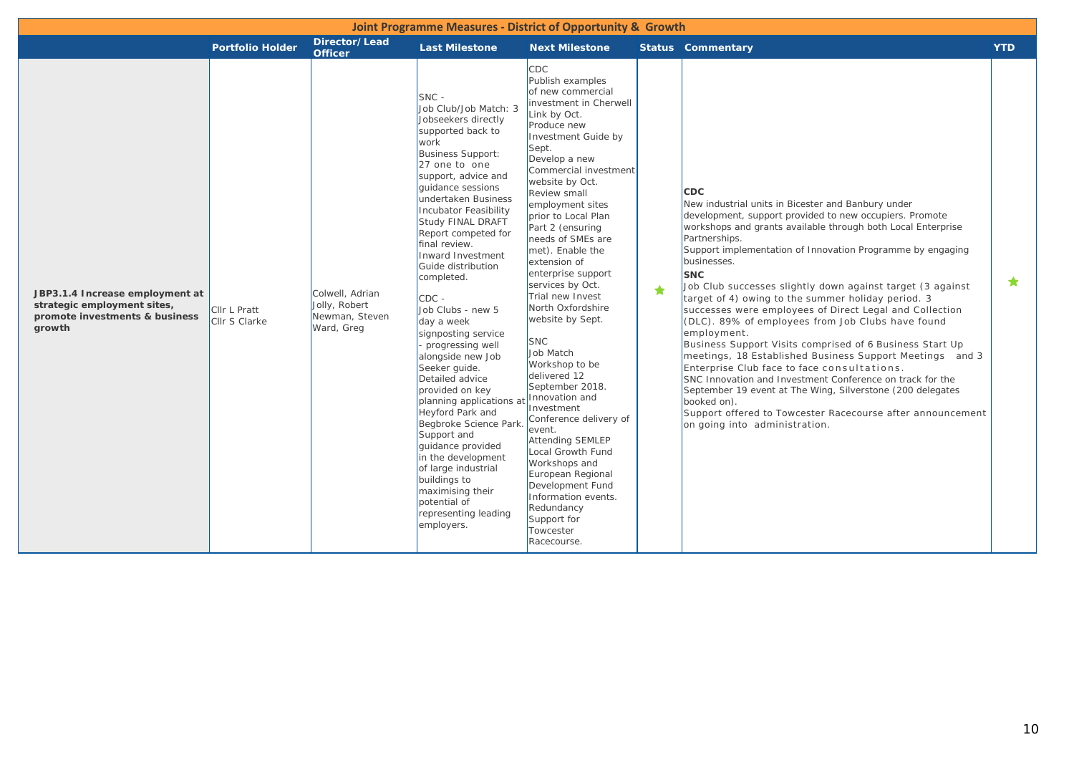| Joint Programme Measures - District of Opportunity & Growth                                                |                               |                                                                  |                                                                                                                                                                                                                                                                                                                                                                                                                                                                                                                                                                                                                                                                                                                                                                             |                                                                                                                                                                                                                                                                                                                                                                                                                                                                                                                                                                                                                                                                                                                                                                                                        |           |                                                                                                                                                                                                                                                                                                                                                                                                                                                                                                                                                                                                                                                                                                                                                                                                                                                                                                                                                                            |            |  |  |  |
|------------------------------------------------------------------------------------------------------------|-------------------------------|------------------------------------------------------------------|-----------------------------------------------------------------------------------------------------------------------------------------------------------------------------------------------------------------------------------------------------------------------------------------------------------------------------------------------------------------------------------------------------------------------------------------------------------------------------------------------------------------------------------------------------------------------------------------------------------------------------------------------------------------------------------------------------------------------------------------------------------------------------|--------------------------------------------------------------------------------------------------------------------------------------------------------------------------------------------------------------------------------------------------------------------------------------------------------------------------------------------------------------------------------------------------------------------------------------------------------------------------------------------------------------------------------------------------------------------------------------------------------------------------------------------------------------------------------------------------------------------------------------------------------------------------------------------------------|-----------|----------------------------------------------------------------------------------------------------------------------------------------------------------------------------------------------------------------------------------------------------------------------------------------------------------------------------------------------------------------------------------------------------------------------------------------------------------------------------------------------------------------------------------------------------------------------------------------------------------------------------------------------------------------------------------------------------------------------------------------------------------------------------------------------------------------------------------------------------------------------------------------------------------------------------------------------------------------------------|------------|--|--|--|
|                                                                                                            | <b>Portfolio Holder</b>       | Director/Lead<br><b>Officer</b>                                  | <b>Last Milestone</b>                                                                                                                                                                                                                                                                                                                                                                                                                                                                                                                                                                                                                                                                                                                                                       | <b>Next Milestone</b>                                                                                                                                                                                                                                                                                                                                                                                                                                                                                                                                                                                                                                                                                                                                                                                  |           | <b>Status Commentary</b>                                                                                                                                                                                                                                                                                                                                                                                                                                                                                                                                                                                                                                                                                                                                                                                                                                                                                                                                                   | <b>YTD</b> |  |  |  |
| JBP3.1.4 Increase employment at<br>strategic employment sites,<br>promote investments & business<br>growth | Cllr L Pratt<br>Cllr S Clarke | Colwell, Adrian<br>Jolly, Robert<br>Newman, Steven<br>Ward, Greg | $SNC -$<br>Job Club/Job Match: 3<br>Jobseekers directly<br>supported back to<br>work<br><b>Business Support:</b><br>27 one to one<br>support, advice and<br>quidance sessions<br>undertaken Business<br>Incubator Feasibility<br>Study FINAL DRAFT<br>Report competed for<br>final review.<br>Inward Investment<br>Guide distribution<br>completed.<br>$CDC -$<br>Job Clubs - new 5<br>day a week<br>signposting service<br>progressing well<br>alongside new Job<br>Seeker guide.<br>Detailed advice<br>provided on key<br>planning applications a<br>Heyford Park and<br>Begbroke Science Park<br>Support and<br>quidance provided<br>in the development<br>of large industrial<br>buildings to<br>maximising their<br>potential of<br>representing leading<br>employers. | <b>CDC</b><br>Publish examples<br>of new commercial<br>investment in Cherwell<br>Link by Oct.<br>Produce new<br>Investment Guide by<br>Sept.<br>Develop a new<br>Commercial investment<br>website by Oct.<br>Review small<br>employment sites<br>prior to Local Plan<br>Part 2 (ensuring<br>needs of SMEs are<br>met). Enable the<br>extension of<br>enterprise support<br>services by Oct.<br>Trial new Invest<br>North Oxfordshire<br>website by Sept.<br><b>SNC</b><br>Job Match<br>Workshop to be<br>delivered 12<br>September 2018.<br>Innovation and<br>Investment<br>Conference delivery of<br>event.<br><b>Attending SEMLEP</b><br>Local Growth Fund<br>Workshops and<br>European Regional<br>Development Fund<br>Information events.<br>Redundancy<br>Support for<br>Towcester<br>Racecourse. | $\bullet$ | <b>CDC</b><br>New industrial units in Bicester and Banbury under<br>development, support provided to new occupiers. Promote<br>workshops and grants available through both Local Enterprise<br>Partnerships.<br>Support implementation of Innovation Programme by engaging<br>businesses.<br><b>SNC</b><br>Job Club successes slightly down against target (3 against<br>target of 4) owing to the summer holiday period. 3<br>successes were employees of Direct Legal and Collection<br>(DLC). 89% of employees from Job Clubs have found<br>employment.<br>Business Support Visits comprised of 6 Business Start Up<br>meetings, 18 Established Business Support Meetings and 3<br>Enterprise Club face to face consultations.<br>SNC Innovation and Investment Conference on track for the<br>September 19 event at The Wing, Silverstone (200 delegates<br>booked on).<br>Support offered to Towcester Racecourse after announcement<br>on going into administration. | ★          |  |  |  |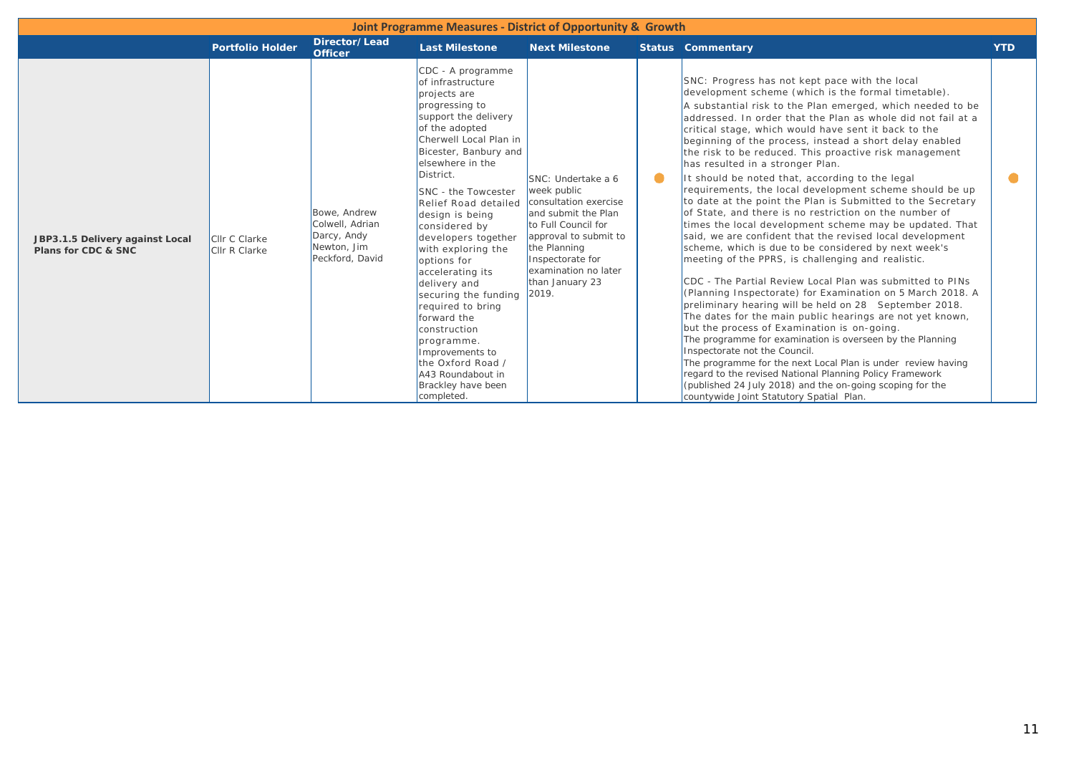| <b>Joint Programme Measures - District of Opportunity &amp; Growth</b> |                                |                                                                                  |                                                                                                                                                                                                                                                                                                                                                                                                                                                                                                                                                                                              |                                                                                                                                                                                                                           |           |                                                                                                                                                                                                                                                                                                                                                                                                                                                                                                                                                                                                                                                                                                                                                                                                                                                                                                                                                                                                                                                                                                                                                                                                                                                                                                                                                                                                                                                                                                                                                                        |            |  |  |  |
|------------------------------------------------------------------------|--------------------------------|----------------------------------------------------------------------------------|----------------------------------------------------------------------------------------------------------------------------------------------------------------------------------------------------------------------------------------------------------------------------------------------------------------------------------------------------------------------------------------------------------------------------------------------------------------------------------------------------------------------------------------------------------------------------------------------|---------------------------------------------------------------------------------------------------------------------------------------------------------------------------------------------------------------------------|-----------|------------------------------------------------------------------------------------------------------------------------------------------------------------------------------------------------------------------------------------------------------------------------------------------------------------------------------------------------------------------------------------------------------------------------------------------------------------------------------------------------------------------------------------------------------------------------------------------------------------------------------------------------------------------------------------------------------------------------------------------------------------------------------------------------------------------------------------------------------------------------------------------------------------------------------------------------------------------------------------------------------------------------------------------------------------------------------------------------------------------------------------------------------------------------------------------------------------------------------------------------------------------------------------------------------------------------------------------------------------------------------------------------------------------------------------------------------------------------------------------------------------------------------------------------------------------------|------------|--|--|--|
|                                                                        | <b>Portfolio Holder</b>        | Director/Lead<br><b>Officer</b>                                                  | <b>Last Milestone</b>                                                                                                                                                                                                                                                                                                                                                                                                                                                                                                                                                                        | <b>Next Milestone</b>                                                                                                                                                                                                     |           | <b>Status Commentary</b>                                                                                                                                                                                                                                                                                                                                                                                                                                                                                                                                                                                                                                                                                                                                                                                                                                                                                                                                                                                                                                                                                                                                                                                                                                                                                                                                                                                                                                                                                                                                               | <b>YTD</b> |  |  |  |
| JBP3.1.5 Delivery against Local<br>Plans for CDC & SNC                 | Cllr C Clarke<br>Cllr R Clarke | Bowe, Andrew<br>Colwell, Adrian<br>Darcy, Andy<br>Newton, Jim<br>Peckford, David | CDC - A programme<br>lof infrastructure<br>projects are<br>progressing to<br>support the delivery<br>of the adopted<br>Cherwell Local Plan in<br>Bicester, Banbury and<br>elsewhere in the<br>District.<br>SNC - the Towcester<br><b>Relief Road detailed</b><br>design is being<br>considered by<br>developers together<br>with exploring the<br>options for<br>accelerating its<br>delivery and<br>securing the funding<br>required to bring<br>forward the<br>construction<br>programme.<br>Improvements to<br>the Oxford Road /<br>A43 Roundabout in<br>Brackley have been<br>completed. | SNC: Undertake a 6<br>week public<br>consultation exercise<br>and submit the Plan<br>to Full Council for<br>approval to submit to<br>the Planning<br>Inspectorate for<br>examination no later<br>than January 23<br>2019. | $\bullet$ | SNC: Progress has not kept pace with the local<br>development scheme (which is the formal timetable).<br>A substantial risk to the Plan emerged, which needed to be<br>laddressed. In order that the Plan as whole did not fail at a<br>critical stage, which would have sent it back to the<br>beginning of the process, instead a short delay enabled<br>the risk to be reduced. This proactive risk management<br>has resulted in a stronger Plan.<br>It should be noted that, according to the legal<br>requirements, the local development scheme should be up<br>to date at the point the Plan is Submitted to the Secretary<br>of State, and there is no restriction on the number of<br>times the local development scheme may be updated. That<br>said, we are confident that the revised local development<br>scheme, which is due to be considered by next week's<br>meeting of the PPRS, is challenging and realistic.<br>CDC - The Partial Review Local Plan was submitted to PINs<br>(Planning Inspectorate) for Examination on 5 March 2018. A<br>preliminary hearing will be held on 28 September 2018.<br>The dates for the main public hearings are not yet known,<br>but the process of Examination is on-going.<br>The programme for examination is overseen by the Planning<br>Inspectorate not the Council.<br>The programme for the next Local Plan is under review having<br>regard to the revised National Planning Policy Framework<br>(published 24 July 2018) and the on-going scoping for the<br>countywide Joint Statutory Spatial Plan. |            |  |  |  |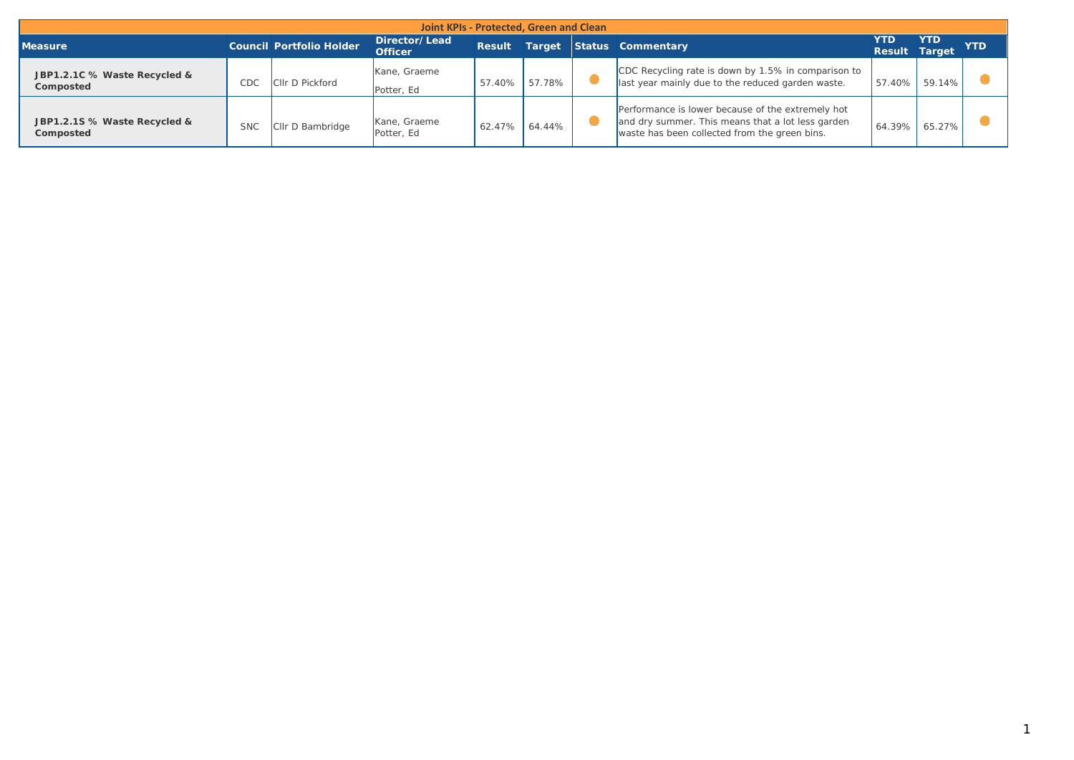| Joint KPIs - Protected, Green and Clean   |            |                                 |                                 |               |        |  |                                                                                                                                                         |                              |            |            |
|-------------------------------------------|------------|---------------------------------|---------------------------------|---------------|--------|--|---------------------------------------------------------------------------------------------------------------------------------------------------------|------------------------------|------------|------------|
| <b>Measure</b>                            |            | <b>Council Portfolio Holder</b> | Director/Lead<br><b>Officer</b> | <b>Result</b> |        |  | Target Status Commentary                                                                                                                                | YTD.<br><b>Result Target</b> | <b>YTD</b> | <b>YTD</b> |
| JBP1.2.1C % Waste Recycled &<br>Composted | CDC        | <b>CIIr D Pickford</b>          | Kane, Graeme<br>Potter, Ed      | 57.40%        | 57.78% |  | CDC Recycling rate is down by 1.5% in comparison to<br>last year mainly due to the reduced garden waste.                                                | 57.40%                       | 59.14%     |            |
| JBP1.2.1S % Waste Recycled &<br>Composted | <b>SNC</b> | CIIr D Bambridge                | Kane, Graeme<br>Potter, Ed      | 62.47%        | 64.44% |  | Performance is lower because of the extremely hot<br>and dry summer. This means that a lot less garden<br>waste has been collected from the green bins. | 64.39%                       | 65.27%     |            |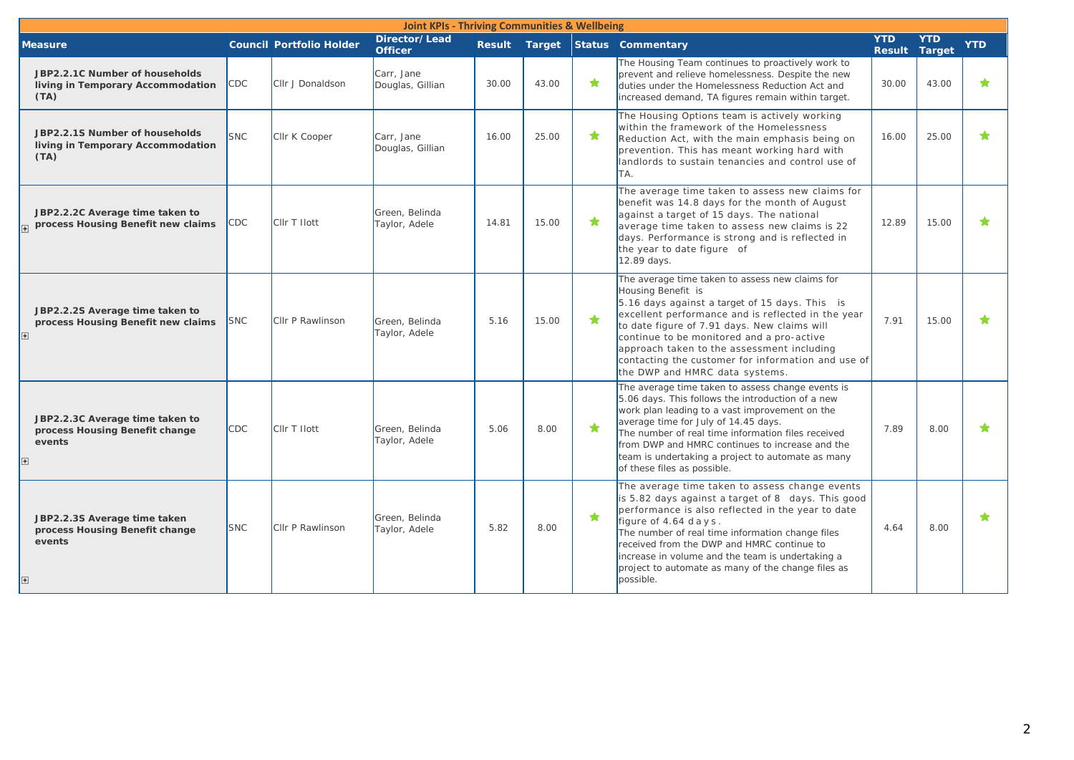| <b>Joint KPIs - Thriving Communities &amp; Wellbeing</b>                                    |            |                                 |                                 |       |       |            |                                                                                                                                                                                                                                                                                                                                                                                                                  |                                    |            |            |
|---------------------------------------------------------------------------------------------|------------|---------------------------------|---------------------------------|-------|-------|------------|------------------------------------------------------------------------------------------------------------------------------------------------------------------------------------------------------------------------------------------------------------------------------------------------------------------------------------------------------------------------------------------------------------------|------------------------------------|------------|------------|
| <b>Measure</b>                                                                              |            | <b>Council Portfolio Holder</b> | Director/Lead<br><b>Officer</b> |       |       |            | Result Target Status Commentary                                                                                                                                                                                                                                                                                                                                                                                  | <b>YTD</b><br><b>Result Target</b> | <b>YTD</b> | <b>YTD</b> |
| JBP2.2.1C Number of households<br>living in Temporary Accommodation<br>(TA)                 | CDC        | Cllr J Donaldson                | Carr, Jane<br>Douglas, Gillian  | 30.00 | 43.00 | ★          | The Housing Team continues to proactively work to<br>prevent and relieve homelessness. Despite the new<br>duties under the Homelessness Reduction Act and<br>increased demand, TA figures remain within target.                                                                                                                                                                                                  | 30.00                              | 43.00      | ★          |
| JBP2.2.1S Number of households<br>living in Temporary Accommodation<br>(TA)                 | <b>SNC</b> | Cllr K Cooper                   | Carr, Jane<br>Douglas, Gillian  | 16.00 | 25.00 | ★          | The Housing Options team is actively working<br>within the framework of the Homelessness<br>Reduction Act, with the main emphasis being on<br>prevention. This has meant working hard with<br>landlords to sustain tenancies and control use of<br>TA.                                                                                                                                                           | 16.00                              | 25.00      | ★          |
| JBP2.2.2C Average time taken to<br>process Housing Benefit new claims                       | CDC        | <b>CIIr T Ilott</b>             | Green, Belinda<br>Taylor, Adele | 14.81 | 15.00 | ★          | The average time taken to assess new claims for<br>benefit was 14.8 days for the month of August<br>against a target of 15 days. The national<br>average time taken to assess new claims is 22<br>days. Performance is strong and is reflected in<br>the year to date figure of<br>12.89 days.                                                                                                                   | 12.89                              | 15.00      | ╈          |
| JBP2.2.2S Average time taken to<br>process Housing Benefit new claims<br>$\mathbf{H}$       | <b>SNC</b> | <b>CIIr P Rawlinson</b>         | Green, Belinda<br>Taylor, Adele | 5.16  | 15.00 | $\bigstar$ | The average time taken to assess new claims for<br>Housing Benefit is<br>5.16 days against a target of 15 days. This is<br>excellent performance and is reflected in the year<br>to date figure of 7.91 days. New claims will<br>continue to be monitored and a pro-active<br>approach taken to the assessment including<br>contacting the customer for information and use of<br>the DWP and HMRC data systems. | 7.91                               | 15.00      |            |
| JBP2.2.3C Average time taken to<br>process Housing Benefit change<br>events<br>$\mathbf{H}$ | <b>CDC</b> | CIIr T Ilott                    | Green, Belinda<br>Taylor, Adele | 5.06  | 8.00  | $\bigstar$ | The average time taken to assess change events is<br>5.06 days. This follows the introduction of a new<br>work plan leading to a vast improvement on the<br>average time for July of 14.45 days.<br>The number of real time information files received<br>from DWP and HMRC continues to increase and the<br>team is undertaking a project to automate as many<br>of these files as possible.                    | 7.89                               | 8.00       |            |
| JBP2.2.3S Average time taken<br>process Housing Benefit change<br>events<br>$+$             | <b>SNC</b> | Cllr P Rawlinson                | Green, Belinda<br>Taylor, Adele | 5.82  | 8.00  | $\bigstar$ | The average time taken to assess change events<br>is 5.82 days against a target of 8 days. This good<br>performance is also reflected in the year to date<br>figure of 4.64 days.<br>The number of real time information change files<br>received from the DWP and HMRC continue to<br>increase in volume and the team is undertaking a<br>project to automate as many of the change files as<br>possible.       | 4.64                               | 8.00       | ★          |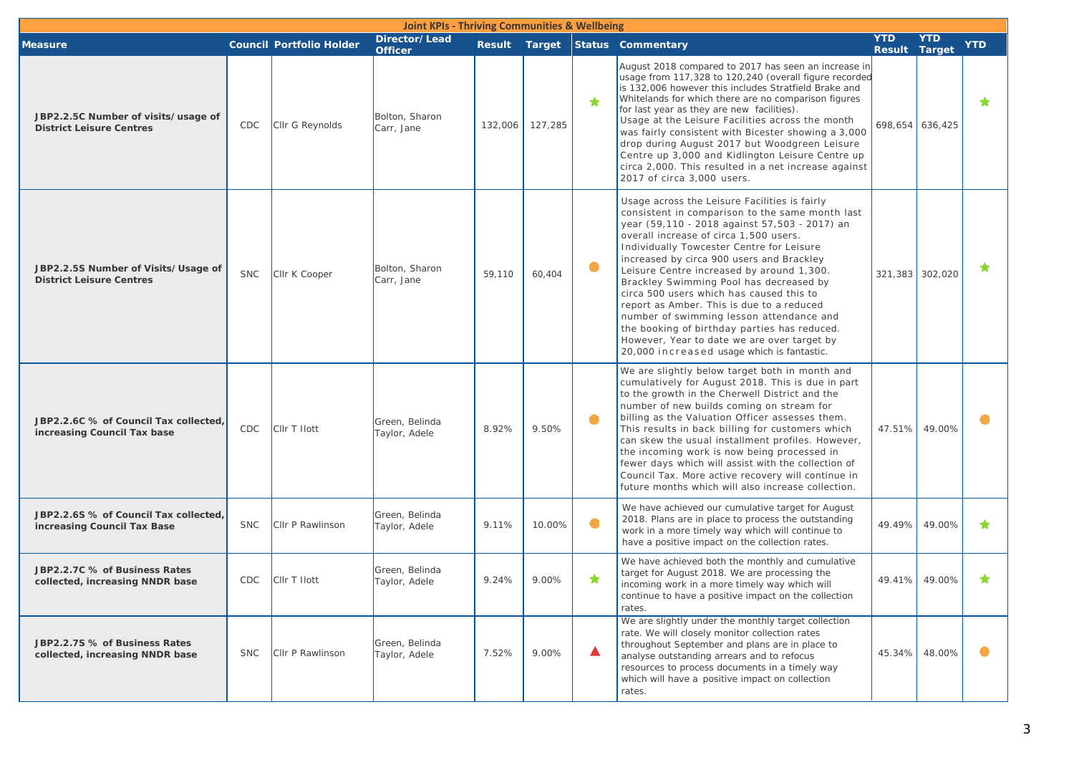| <b>Joint KPIs - Thriving Communities &amp; Wellbeing</b>               |            |                                 |                                 |         |         |           |                                                                                                                                                                                                                                                                                                                                                                                                                                                                                                                                                                                                                                                                 |                             |                 |            |
|------------------------------------------------------------------------|------------|---------------------------------|---------------------------------|---------|---------|-----------|-----------------------------------------------------------------------------------------------------------------------------------------------------------------------------------------------------------------------------------------------------------------------------------------------------------------------------------------------------------------------------------------------------------------------------------------------------------------------------------------------------------------------------------------------------------------------------------------------------------------------------------------------------------------|-----------------------------|-----------------|------------|
| <b>Measure</b>                                                         |            | <b>Council Portfolio Holder</b> | Director/Lead<br><b>Officer</b> |         |         |           | Result Target Status Commentary                                                                                                                                                                                                                                                                                                                                                                                                                                                                                                                                                                                                                                 | <b>YTD</b><br><b>Result</b> | YTD<br>Target   | <b>YTD</b> |
| JBP2.2.5C Number of visits/usage of<br><b>District Leisure Centres</b> | CDC        | Cllr G Reynolds                 | Bolton, Sharon<br>Carr, Jane    | 132,006 | 127,285 | ★         | August 2018 compared to 2017 has seen an increase in<br>usage from 117,328 to 120,240 (overall figure recorded<br>is 132,006 however this includes Stratfield Brake and<br>Whitelands for which there are no comparison figures<br>for last year as they are new facilities).<br>Usage at the Leisure Facilities across the month<br>was fairly consistent with Bicester showing a 3,000<br>drop during August 2017 but Woodgreen Leisure<br>Centre up 3,000 and Kidlington Leisure Centre up<br>circa 2,000. This resulted in a net increase against<br>2017 of circa 3,000 users.                                                                             |                             | 698,654 636,425 | $\bigstar$ |
| JBP2.2.5S Number of Visits/Usage of<br><b>District Leisure Centres</b> | <b>SNC</b> | Cllr K Cooper                   | Bolton, Sharon<br>Carr, Jane    | 59,110  | 60,404  | $\bullet$ | Usage across the Leisure Facilities is fairly<br>consistent in comparison to the same month last<br>year (59,110 - 2018 against 57,503 - 2017) an<br>overall increase of circa 1,500 users.<br>Individually Towcester Centre for Leisure<br>increased by circa 900 users and Brackley<br>Leisure Centre increased by around 1,300.<br>Brackley Swimming Pool has decreased by<br>circa 500 users which has caused this to<br>report as Amber. This is due to a reduced<br>number of swimming lesson attendance and<br>the booking of birthday parties has reduced.<br>However, Year to date we are over target by<br>20,000 increased usage which is fantastic. | 321,383 302,020             |                 | ★          |
| JBP2.2.6C % of Council Tax collected,<br>increasing Council Tax base   | <b>CDC</b> | CIIr T Ilott                    | Green, Belinda<br>Taylor, Adele | 8.92%   | 9.50%   | 0         | We are slightly below target both in month and<br>cumulatively for August 2018. This is due in part<br>to the growth in the Cherwell District and the<br>number of new builds coming on stream for<br>billing as the Valuation Officer assesses them.<br>This results in back billing for customers which<br>can skew the usual installment profiles. However,<br>the incoming work is now being processed in<br>fewer days which will assist with the collection of<br>Council Tax. More active recovery will continue in<br>future months which will also increase collection.                                                                                | 47.51%                      | 49.00%          |            |
| JBP2.2.6S % of Council Tax collected,<br>increasing Council Tax Base   | <b>SNC</b> | Cllr P Rawlinson                | Green, Belinda<br>Taylor, Adele | 9.11%   | 10.00%  | $\bullet$ | We have achieved our cumulative target for August<br>2018. Plans are in place to process the outstanding<br>work in a more timely way which will continue to<br>have a positive impact on the collection rates.                                                                                                                                                                                                                                                                                                                                                                                                                                                 | 49.49%                      | 49.00%          | ★          |
| JBP2.2.7C % of Business Rates<br>collected, increasing NNDR base       | CDC        | CIIr T Ilott                    | Green, Belinda<br>Taylor, Adele | 9.24%   | 9.00%   | ★         | We have achieved both the monthly and cumulative<br>target for August 2018. We are processing the<br>incoming work in a more timely way which will<br>continue to have a positive impact on the collection<br>rates.                                                                                                                                                                                                                                                                                                                                                                                                                                            |                             | 49.41% 49.00%   | ★          |
| JBP2.2.7S % of Business Rates<br>collected, increasing NNDR base       | <b>SNC</b> | Cllr P Rawlinson                | Green, Belinda<br>Taylor, Adele | 7.52%   | 9.00%   | ▲         | We are slightly under the monthly target collection<br>rate. We will closely monitor collection rates<br>throughout September and plans are in place to<br>analyse outstanding arrears and to refocus<br>resources to process documents in a timely way<br>which will have a positive impact on collection<br>rates.                                                                                                                                                                                                                                                                                                                                            |                             | 45.34% 48.00%   | $\bullet$  |